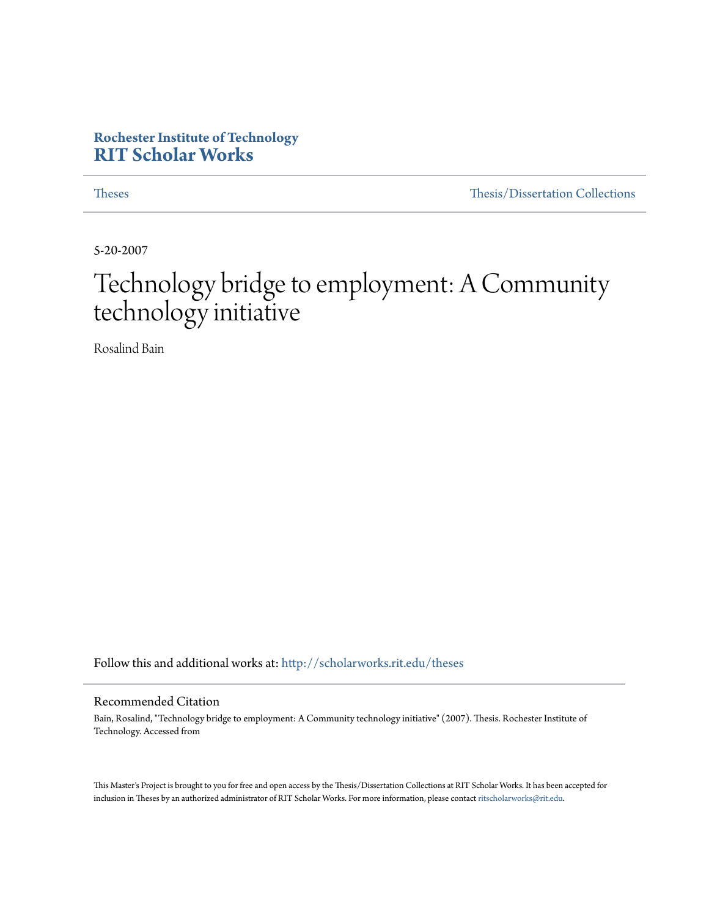### **Rochester Institute of Technology [RIT Scholar Works](http://scholarworks.rit.edu?utm_source=scholarworks.rit.edu%2Ftheses%2F7017&utm_medium=PDF&utm_campaign=PDFCoverPages)**

[Theses](http://scholarworks.rit.edu/theses?utm_source=scholarworks.rit.edu%2Ftheses%2F7017&utm_medium=PDF&utm_campaign=PDFCoverPages) [Thesis/Dissertation Collections](http://scholarworks.rit.edu/etd_collections?utm_source=scholarworks.rit.edu%2Ftheses%2F7017&utm_medium=PDF&utm_campaign=PDFCoverPages)

5-20-2007

# Technology bridge to employment: A Community technology initiative

Rosalind Bain

Follow this and additional works at: [http://scholarworks.rit.edu/theses](http://scholarworks.rit.edu/theses?utm_source=scholarworks.rit.edu%2Ftheses%2F7017&utm_medium=PDF&utm_campaign=PDFCoverPages)

#### Recommended Citation

Bain, Rosalind, "Technology bridge to employment: A Community technology initiative" (2007). Thesis. Rochester Institute of Technology. Accessed from

This Master's Project is brought to you for free and open access by the Thesis/Dissertation Collections at RIT Scholar Works. It has been accepted for inclusion in Theses by an authorized administrator of RIT Scholar Works. For more information, please contact [ritscholarworks@rit.edu](mailto:ritscholarworks@rit.edu).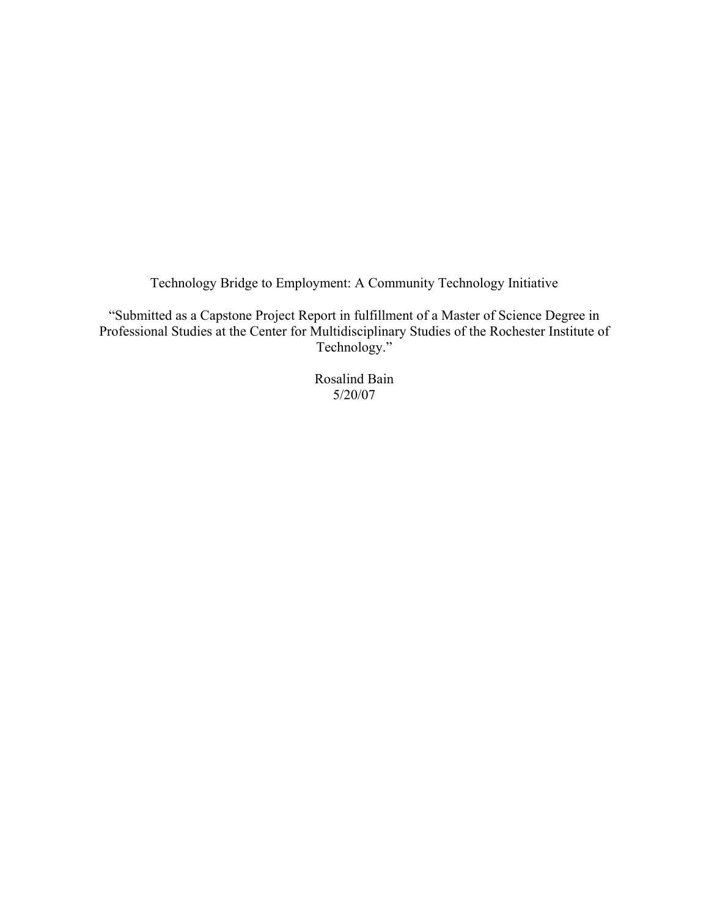Technology Bridge to Employment: A Community Technology Initiative

"Submitted as a Capstone Project Report in fulfillment of a Master of Science Degree in Professional Studies at the Center for Multidisciplinary Studies of the Rochester Institute of Technology."

> Rosalind Bain 5/20/07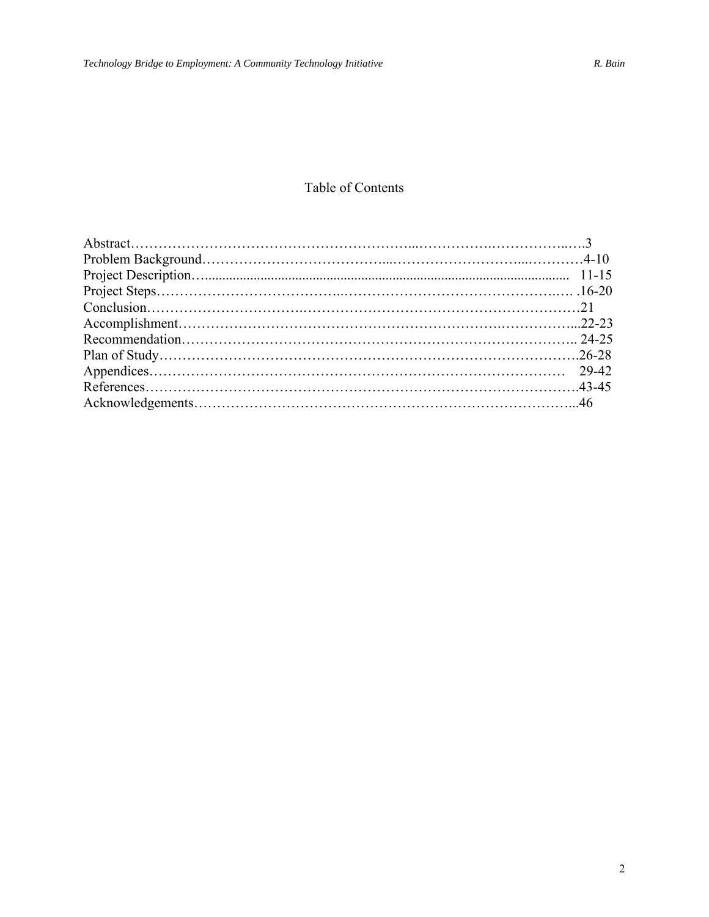### Table of Contents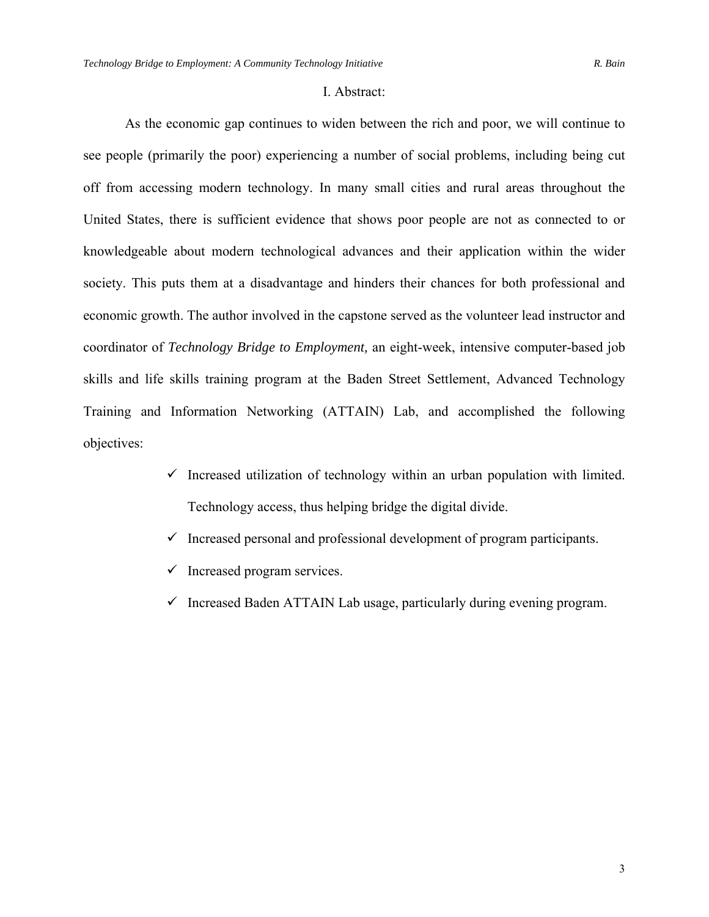#### I. Abstract:

As the economic gap continues to widen between the rich and poor, we will continue to see people (primarily the poor) experiencing a number of social problems, including being cut off from accessing modern technology. In many small cities and rural areas throughout the United States, there is sufficient evidence that shows poor people are not as connected to or knowledgeable about modern technological advances and their application within the wider society. This puts them at a disadvantage and hinders their chances for both professional and economic growth. The author involved in the capstone served as the volunteer lead instructor and coordinator of *Technology Bridge to Employment,* an eight-week, intensive computer-based job skills and life skills training program at the Baden Street Settlement, Advanced Technology Training and Information Networking (ATTAIN) Lab, and accomplished the following objectives:

- $\checkmark$  Increased utilization of technology within an urban population with limited. Technology access, thus helping bridge the digital divide.
- $\checkmark$  Increased personal and professional development of program participants.
- $\checkmark$  Increased program services.
- $\checkmark$  Increased Baden ATTAIN Lab usage, particularly during evening program.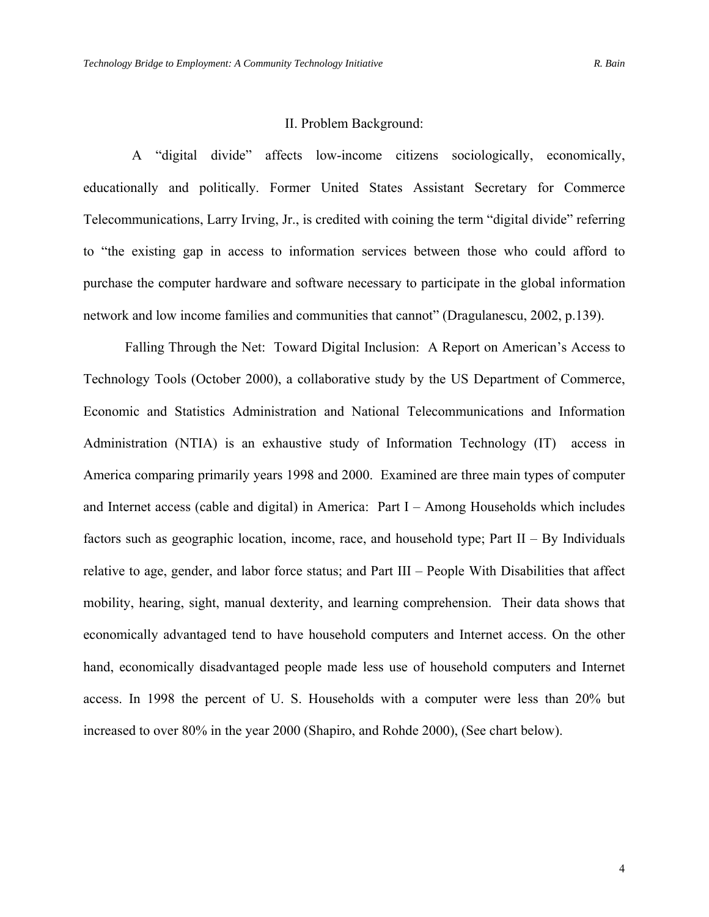#### II. Problem Background:

 A "digital divide" affects low-income citizens sociologically, economically, educationally and politically. Former United States Assistant Secretary for Commerce Telecommunications, Larry Irving, Jr., is credited with coining the term "digital divide" referring to "the existing gap in access to information services between those who could afford to purchase the computer hardware and software necessary to participate in the global information network and low income families and communities that cannot" (Dragulanescu, 2002, p.139).

Falling Through the Net: Toward Digital Inclusion: A Report on American's Access to Technology Tools (October 2000), a collaborative study by the US Department of Commerce, Economic and Statistics Administration and National Telecommunications and Information Administration (NTIA) is an exhaustive study of Information Technology (IT) access in America comparing primarily years 1998 and 2000. Examined are three main types of computer and Internet access (cable and digital) in America: Part I – Among Households which includes factors such as geographic location, income, race, and household type; Part  $II - By$  Individuals relative to age, gender, and labor force status; and Part III – People With Disabilities that affect mobility, hearing, sight, manual dexterity, and learning comprehension. Their data shows that economically advantaged tend to have household computers and Internet access. On the other hand, economically disadvantaged people made less use of household computers and Internet access. In 1998 the percent of U. S. Households with a computer were less than 20% but increased to over 80% in the year 2000 (Shapiro, and Rohde 2000), (See chart below).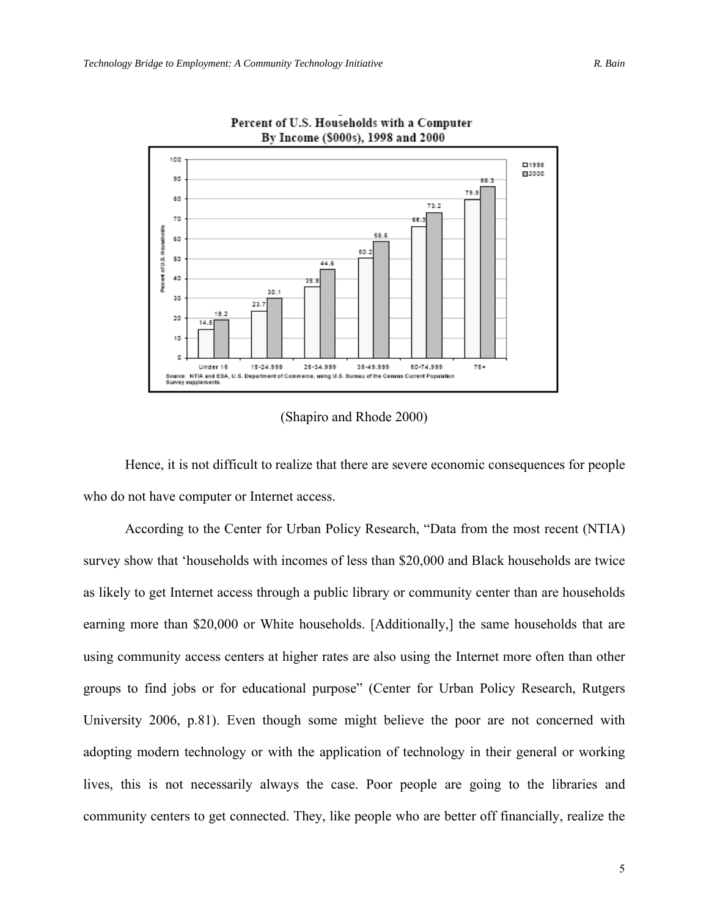

Percent of U.S. Households with a Computer By Income (\$000s), 1998 and 2000

(Shapiro and Rhode 2000)

Hence, it is not difficult to realize that there are severe economic consequences for people who do not have computer or Internet access.

According to the Center for Urban Policy Research, "Data from the most recent (NTIA) survey show that 'households with incomes of less than \$20,000 and Black households are twice as likely to get Internet access through a public library or community center than are households earning more than \$20,000 or White households. [Additionally,] the same households that are using community access centers at higher rates are also using the Internet more often than other groups to find jobs or for educational purpose" (Center for Urban Policy Research, Rutgers University 2006, p.81). Even though some might believe the poor are not concerned with adopting modern technology or with the application of technology in their general or working lives, this is not necessarily always the case. Poor people are going to the libraries and community centers to get connected. They, like people who are better off financially, realize the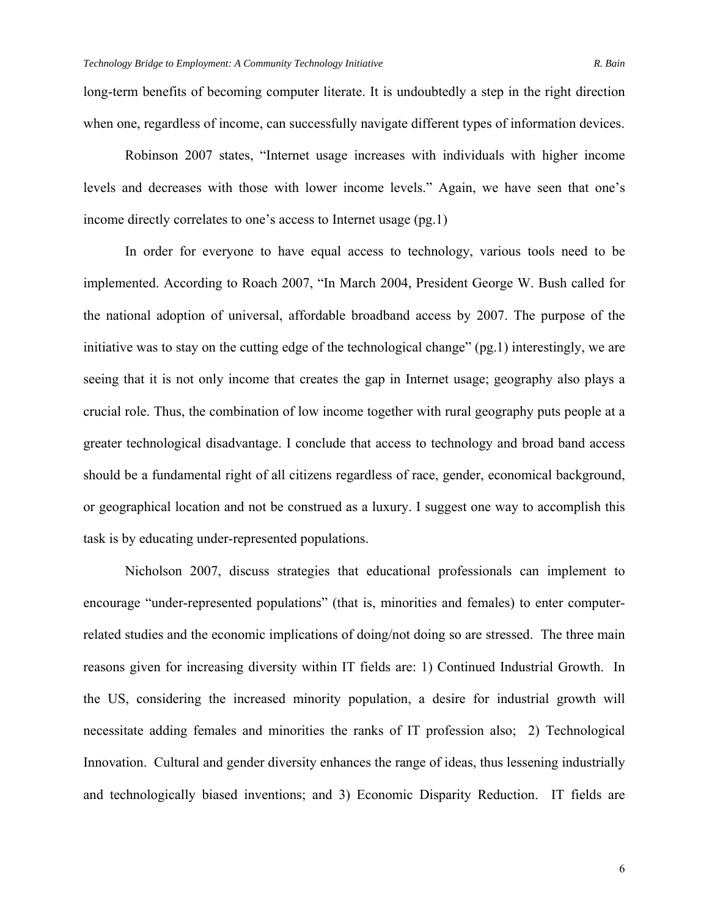long-term benefits of becoming computer literate. It is undoubtedly a step in the right direction when one, regardless of income, can successfully navigate different types of information devices.

Robinson 2007 states, "Internet usage increases with individuals with higher income levels and decreases with those with lower income levels." Again, we have seen that one's income directly correlates to one's access to Internet usage (pg.1)

In order for everyone to have equal access to technology, various tools need to be implemented. According to Roach 2007, "In March 2004, President George W. Bush called for the national adoption of universal, affordable broadband access by 2007. The purpose of the initiative was to stay on the cutting edge of the technological change" (pg.1) interestingly, we are seeing that it is not only income that creates the gap in Internet usage; geography also plays a crucial role. Thus, the combination of low income together with rural geography puts people at a greater technological disadvantage. I conclude that access to technology and broad band access should be a fundamental right of all citizens regardless of race, gender, economical background, or geographical location and not be construed as a luxury. I suggest one way to accomplish this task is by educating under-represented populations.

Nicholson 2007, discuss strategies that educational professionals can implement to encourage "under-represented populations" (that is, minorities and females) to enter computerrelated studies and the economic implications of doing/not doing so are stressed. The three main reasons given for increasing diversity within IT fields are: 1) Continued Industrial Growth. In the US, considering the increased minority population, a desire for industrial growth will necessitate adding females and minorities the ranks of IT profession also; 2) Technological Innovation. Cultural and gender diversity enhances the range of ideas, thus lessening industrially and technologically biased inventions; and 3) Economic Disparity Reduction. IT fields are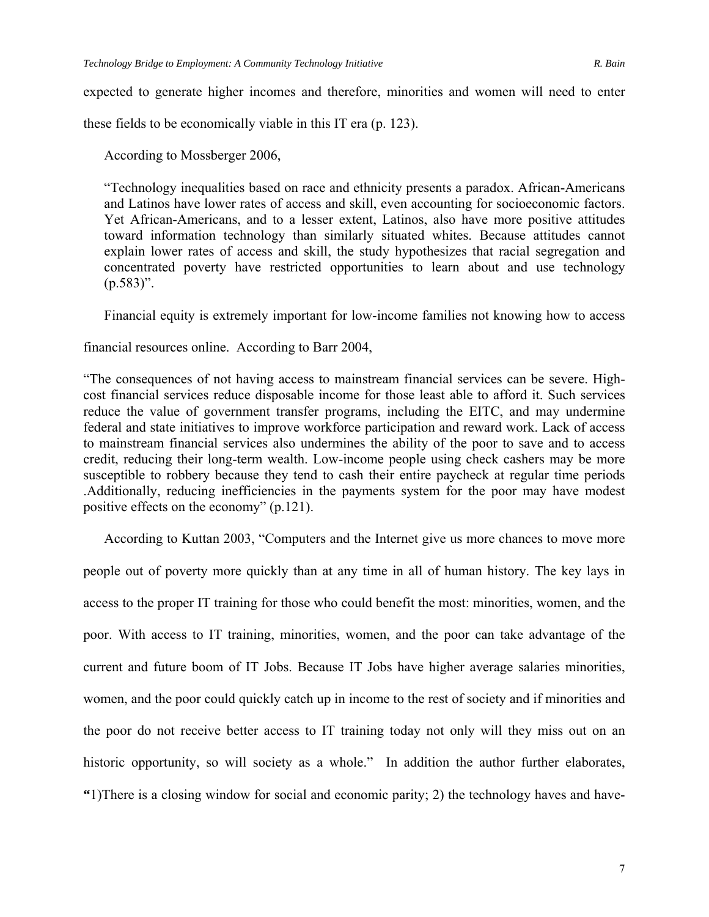expected to generate higher incomes and therefore, minorities and women will need to enter

these fields to be economically viable in this IT era (p. 123).

According to Mossberger 2006,

"Technology inequalities based on race and ethnicity presents a paradox. African-Americans and Latinos have lower rates of access and skill, even accounting for socioeconomic factors. Yet African-Americans, and to a lesser extent, Latinos, also have more positive attitudes toward information technology than similarly situated whites. Because attitudes cannot explain lower rates of access and skill, the study hypothesizes that racial segregation and concentrated poverty have restricted opportunities to learn about and use technology  $(p.583)$ ".

Financial equity is extremely important for low-income families not knowing how to access

financial resources online. According to Barr 2004,

"The consequences of not having access to mainstream financial services can be severe. Highcost financial services reduce disposable income for those least able to afford it. Such services reduce the value of government transfer programs, including the EITC, and may undermine federal and state initiatives to improve workforce participation and reward work. Lack of access to mainstream financial services also undermines the ability of the poor to save and to access credit, reducing their long-term wealth. Low-income people using check cashers may be more susceptible to robbery because they tend to cash their entire paycheck at regular time periods .Additionally, reducing inefficiencies in the payments system for the poor may have modest positive effects on the economy" (p.121).

According to Kuttan 2003, "Computers and the Internet give us more chances to move more

people out of poverty more quickly than at any time in all of human history. The key lays in access to the proper IT training for those who could benefit the most: minorities, women, and the poor. With access to IT training, minorities, women, and the poor can take advantage of the current and future boom of IT Jobs. Because IT Jobs have higher average salaries minorities, women, and the poor could quickly catch up in income to the rest of society and if minorities and the poor do not receive better access to IT training today not only will they miss out on an historic opportunity, so will society as a whole." In addition the author further elaborates, **"**1)There is a closing window for social and economic parity; 2) the technology haves and have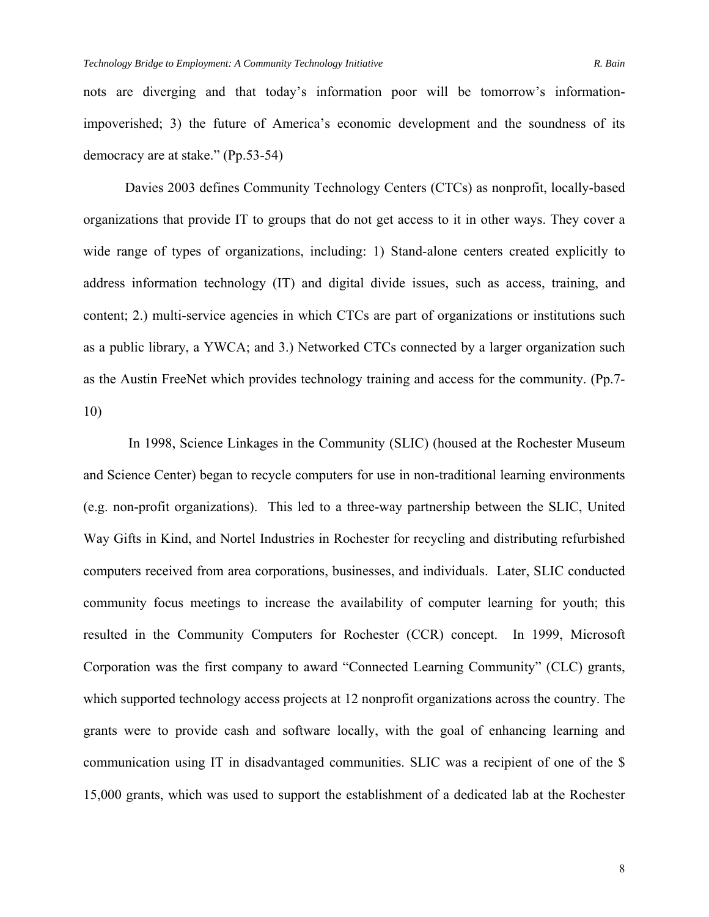nots are diverging and that today's information poor will be tomorrow's informationimpoverished; 3) the future of America's economic development and the soundness of its democracy are at stake." (Pp.53-54)

 Davies 2003 defines Community Technology Centers (CTCs) as nonprofit, locally-based organizations that provide IT to groups that do not get access to it in other ways. They cover a wide range of types of organizations, including: 1) Stand-alone centers created explicitly to address information technology (IT) and digital divide issues, such as access, training, and content; 2.) multi-service agencies in which CTCs are part of organizations or institutions such as a public library, a YWCA; and 3.) Networked CTCs connected by a larger organization such as the Austin FreeNet which provides technology training and access for the community. (Pp.7- 10)

 In 1998, Science Linkages in the Community (SLIC) (housed at the Rochester Museum and Science Center) began to recycle computers for use in non-traditional learning environments (e.g. non-profit organizations). This led to a three-way partnership between the SLIC, United Way Gifts in Kind, and Nortel Industries in Rochester for recycling and distributing refurbished computers received from area corporations, businesses, and individuals. Later, SLIC conducted community focus meetings to increase the availability of computer learning for youth; this resulted in the Community Computers for Rochester (CCR) concept. In 1999, Microsoft Corporation was the first company to award "Connected Learning Community" (CLC) grants, which supported technology access projects at 12 nonprofit organizations across the country. The grants were to provide cash and software locally, with the goal of enhancing learning and communication using IT in disadvantaged communities. SLIC was a recipient of one of the \$ 15,000 grants, which was used to support the establishment of a dedicated lab at the Rochester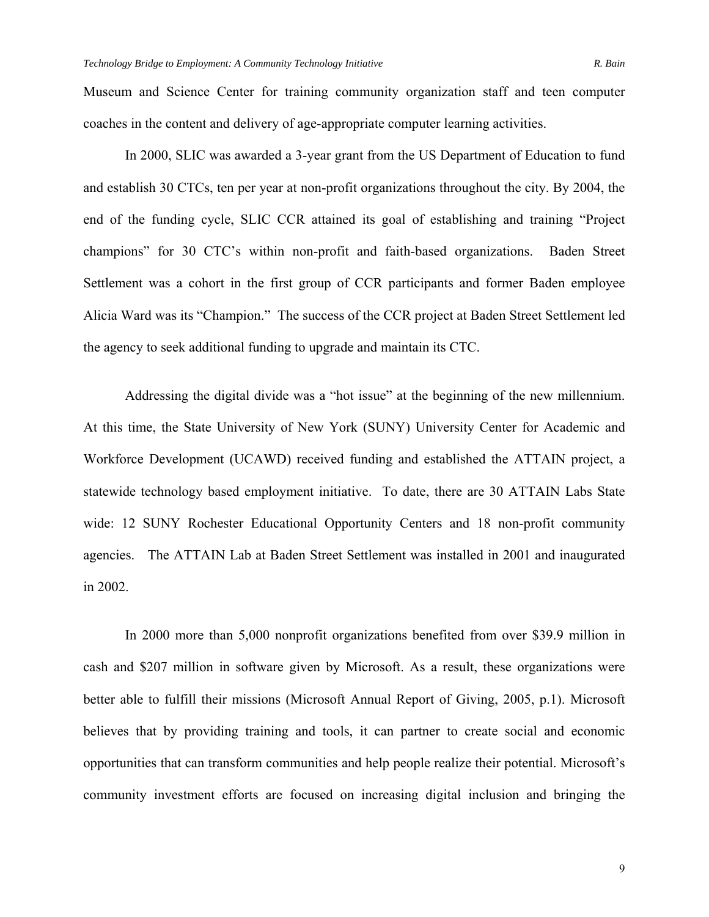Museum and Science Center for training community organization staff and teen computer coaches in the content and delivery of age-appropriate computer learning activities.

In 2000, SLIC was awarded a 3-year grant from the US Department of Education to fund and establish 30 CTCs, ten per year at non-profit organizations throughout the city. By 2004, the end of the funding cycle, SLIC CCR attained its goal of establishing and training "Project champions" for 30 CTC's within non-profit and faith-based organizations. Baden Street Settlement was a cohort in the first group of CCR participants and former Baden employee Alicia Ward was its "Champion." The success of the CCR project at Baden Street Settlement led the agency to seek additional funding to upgrade and maintain its CTC.

Addressing the digital divide was a "hot issue" at the beginning of the new millennium. At this time, the State University of New York (SUNY) University Center for Academic and Workforce Development (UCAWD) received funding and established the ATTAIN project, a statewide technology based employment initiative. To date, there are 30 ATTAIN Labs State wide: 12 SUNY Rochester Educational Opportunity Centers and 18 non-profit community agencies. The ATTAIN Lab at Baden Street Settlement was installed in 2001 and inaugurated in 2002.

In 2000 more than 5,000 nonprofit organizations benefited from over \$39.9 million in cash and \$207 million in software given by Microsoft. As a result, these organizations were better able to fulfill their missions (Microsoft Annual Report of Giving, 2005, p.1). Microsoft believes that by providing training and tools, it can partner to create social and economic opportunities that can transform communities and help people realize their potential. Microsoft's community investment efforts are focused on increasing digital inclusion and bringing the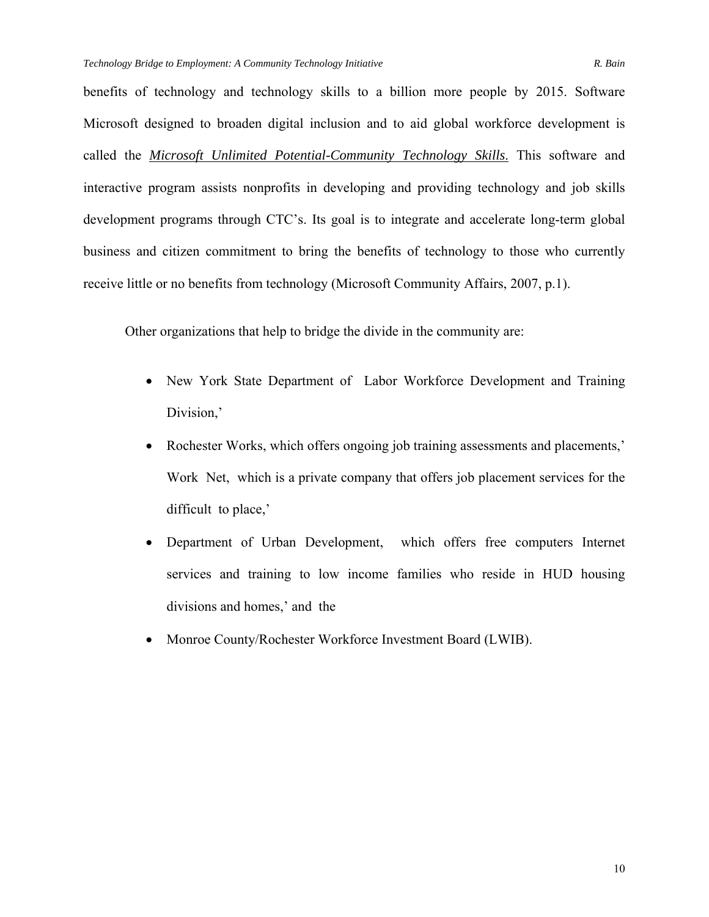benefits of technology and technology skills to a billion more people by 2015. Software

Microsoft designed to broaden digital inclusion and to aid global workforce development is called the *Microsoft Unlimited Potential-Community Technology Skills*. This software and interactive program assists nonprofits in developing and providing technology and job skills development programs through CTC's. Its goal is to integrate and accelerate long-term global business and citizen commitment to bring the benefits of technology to those who currently receive little or no benefits from technology (Microsoft Community Affairs, 2007, p.1).

Other organizations that help to bridge the divide in the community are:

- New York State Department of Labor Workforce Development and Training Division,'
- Rochester Works, which offers ongoing job training assessments and placements,' Work Net, which is a private company that offers job placement services for the difficult to place,'
- Department of Urban Development, which offers free computers Internet services and training to low income families who reside in HUD housing divisions and homes,' and the
- Monroe County/Rochester Workforce Investment Board (LWIB).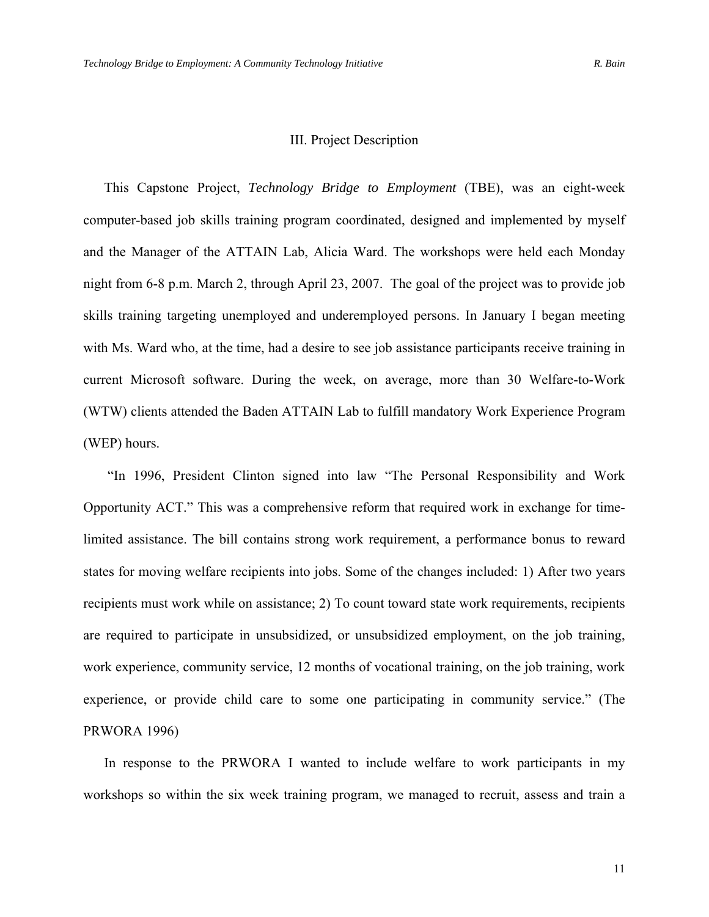#### III. Project Description

This Capstone Project, *Technology Bridge to Employment* (TBE), was an eight-week computer-based job skills training program coordinated, designed and implemented by myself and the Manager of the ATTAIN Lab, Alicia Ward. The workshops were held each Monday night from 6-8 p.m. March 2, through April 23, 2007. The goal of the project was to provide job skills training targeting unemployed and underemployed persons. In January I began meeting with Ms. Ward who, at the time, had a desire to see job assistance participants receive training in current Microsoft software. During the week, on average, more than 30 Welfare-to-Work (WTW) clients attended the Baden ATTAIN Lab to fulfill mandatory Work Experience Program (WEP) hours.

 "In 1996, President Clinton signed into law "The Personal Responsibility and Work Opportunity ACT." This was a comprehensive reform that required work in exchange for timelimited assistance. The bill contains strong work requirement, a performance bonus to reward states for moving welfare recipients into jobs. Some of the changes included: 1) After two years recipients must work while on assistance; 2) To count toward state work requirements, recipients are required to participate in unsubsidized, or unsubsidized employment, on the job training, work experience, community service, 12 months of vocational training, on the job training, work experience, or provide child care to some one participating in community service." (The PRWORA 1996)

In response to the PRWORA I wanted to include welfare to work participants in my workshops so within the six week training program, we managed to recruit, assess and train a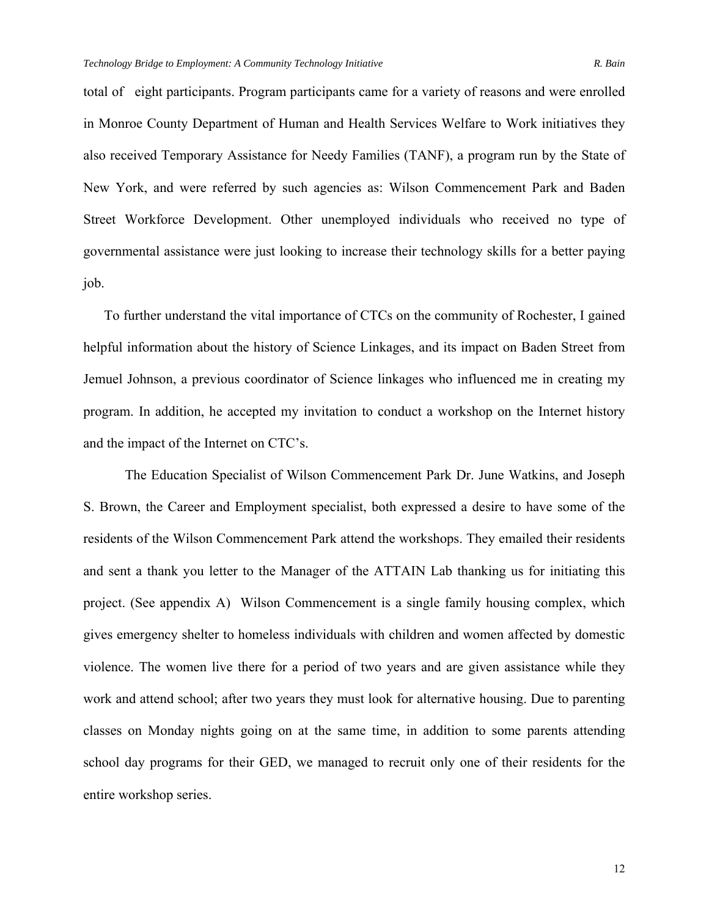total of eight participants. Program participants came for a variety of reasons and were enrolled in Monroe County Department of Human and Health Services Welfare to Work initiatives they also received Temporary Assistance for Needy Families (TANF), a program run by the State of New York, and were referred by such agencies as: Wilson Commencement Park and Baden Street Workforce Development. Other unemployed individuals who received no type of governmental assistance were just looking to increase their technology skills for a better paying job.

To further understand the vital importance of CTCs on the community of Rochester, I gained helpful information about the history of Science Linkages, and its impact on Baden Street from Jemuel Johnson, a previous coordinator of Science linkages who influenced me in creating my program. In addition, he accepted my invitation to conduct a workshop on the Internet history and the impact of the Internet on CTC's.

The Education Specialist of Wilson Commencement Park Dr. June Watkins, and Joseph S. Brown, the Career and Employment specialist, both expressed a desire to have some of the residents of the Wilson Commencement Park attend the workshops. They emailed their residents and sent a thank you letter to the Manager of the ATTAIN Lab thanking us for initiating this project. (See appendix A) Wilson Commencement is a single family housing complex, which gives emergency shelter to homeless individuals with children and women affected by domestic violence. The women live there for a period of two years and are given assistance while they work and attend school; after two years they must look for alternative housing. Due to parenting classes on Monday nights going on at the same time, in addition to some parents attending school day programs for their GED, we managed to recruit only one of their residents for the entire workshop series.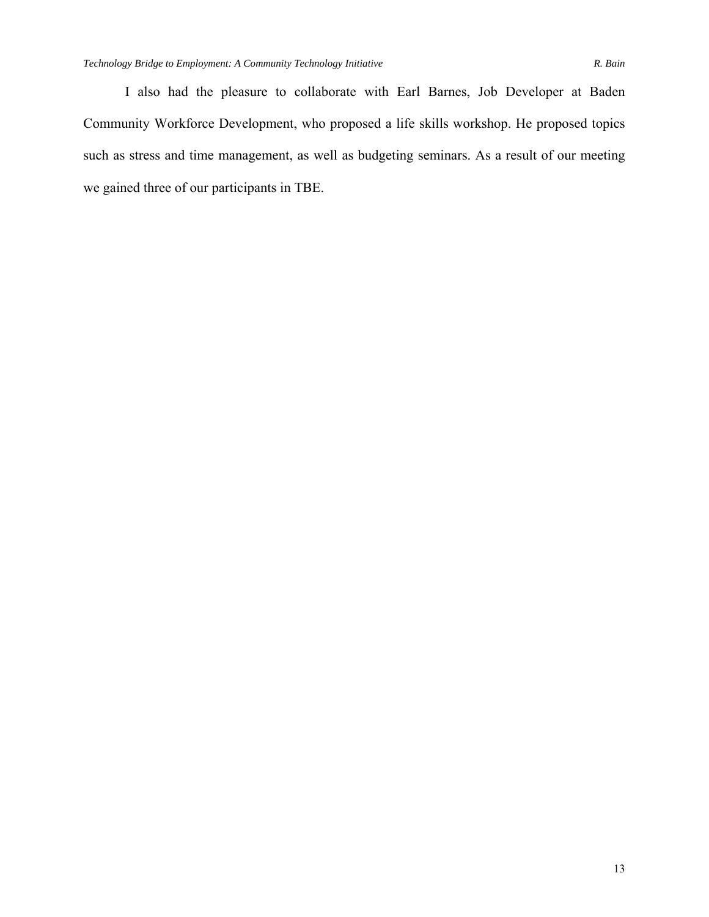I also had the pleasure to collaborate with Earl Barnes, Job Developer at Baden Community Workforce Development, who proposed a life skills workshop. He proposed topics such as stress and time management, as well as budgeting seminars. As a result of our meeting we gained three of our participants in TBE.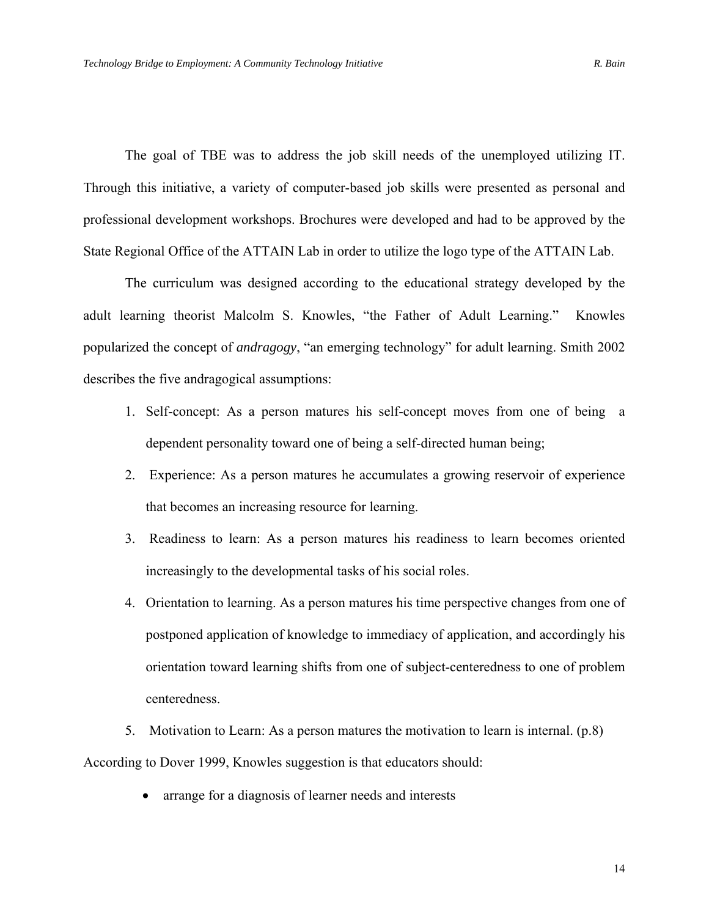The goal of TBE was to address the job skill needs of the unemployed utilizing IT. Through this initiative, a variety of computer-based job skills were presented as personal and professional development workshops. Brochures were developed and had to be approved by the State Regional Office of the ATTAIN Lab in order to utilize the logo type of the ATTAIN Lab.

The curriculum was designed according to the educational strategy developed by the adult learning theorist Malcolm S. Knowles, "the Father of Adult Learning." Knowles popularized the concept of *andragogy*, "an emerging technology" for adult learning. Smith 2002 describes the five andragogical assumptions:

- 1. Self-concept: As a person matures his self-concept moves from one of being a dependent personality toward one of being a self-directed human being;
- 2. Experience: As a person matures he accumulates a growing reservoir of experience that becomes an increasing resource for learning.
- 3. Readiness to learn: As a person matures his readiness to learn becomes oriented increasingly to the developmental tasks of his social roles.
- 4. Orientation to learning. As a person matures his time perspective changes from one of postponed application of knowledge to immediacy of application, and accordingly his orientation toward learning shifts from one of subject-centeredness to one of problem centeredness.
- 5. Motivation to Learn: As a person matures the motivation to learn is internal. (p.8) According to Dover 1999, Knowles suggestion is that educators should:
	- arrange for a diagnosis of learner needs and interests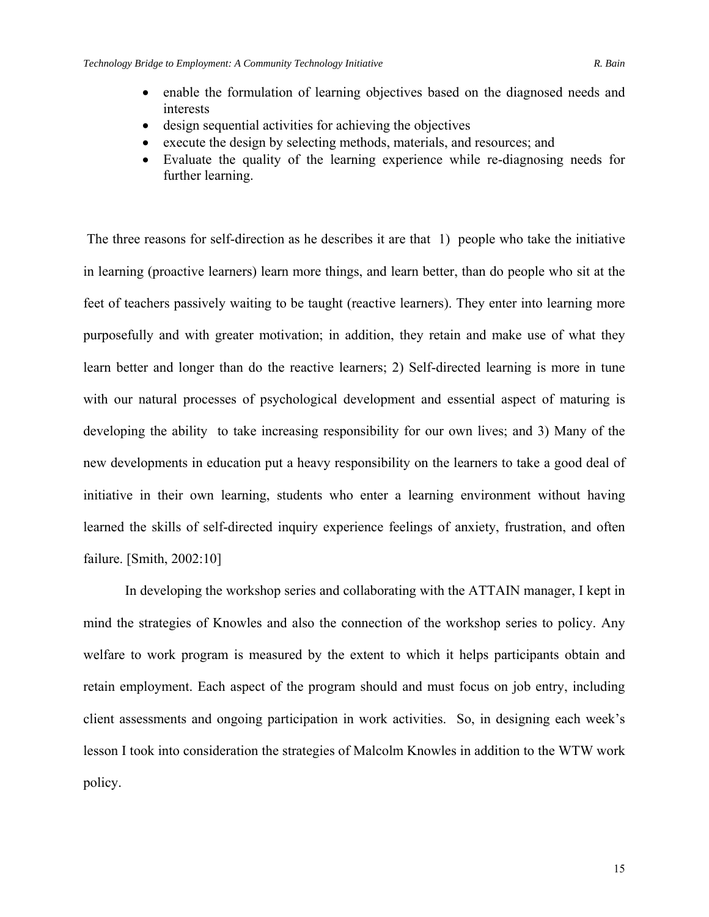- enable the formulation of learning objectives based on the diagnosed needs and interests
- design sequential activities for achieving the objectives
- execute the design by selecting methods, materials, and resources; and
- Evaluate the quality of the learning experience while re-diagnosing needs for further learning.

 The three reasons for self-direction as he describes it are that 1) people who take the initiative in learning (proactive learners) learn more things, and learn better, than do people who sit at the feet of teachers passively waiting to be taught (reactive learners). They enter into learning more purposefully and with greater motivation; in addition, they retain and make use of what they learn better and longer than do the reactive learners; 2) Self-directed learning is more in tune with our natural processes of psychological development and essential aspect of maturing is developing the ability to take increasing responsibility for our own lives; and 3) Many of the new developments in education put a heavy responsibility on the learners to take a good deal of initiative in their own learning, students who enter a learning environment without having learned the skills of self-directed inquiry experience feelings of anxiety, frustration, and often failure. [Smith, 2002:10]

 In developing the workshop series and collaborating with the ATTAIN manager, I kept in mind the strategies of Knowles and also the connection of the workshop series to policy. Any welfare to work program is measured by the extent to which it helps participants obtain and retain employment. Each aspect of the program should and must focus on job entry, including client assessments and ongoing participation in work activities. So, in designing each week's lesson I took into consideration the strategies of Malcolm Knowles in addition to the WTW work policy.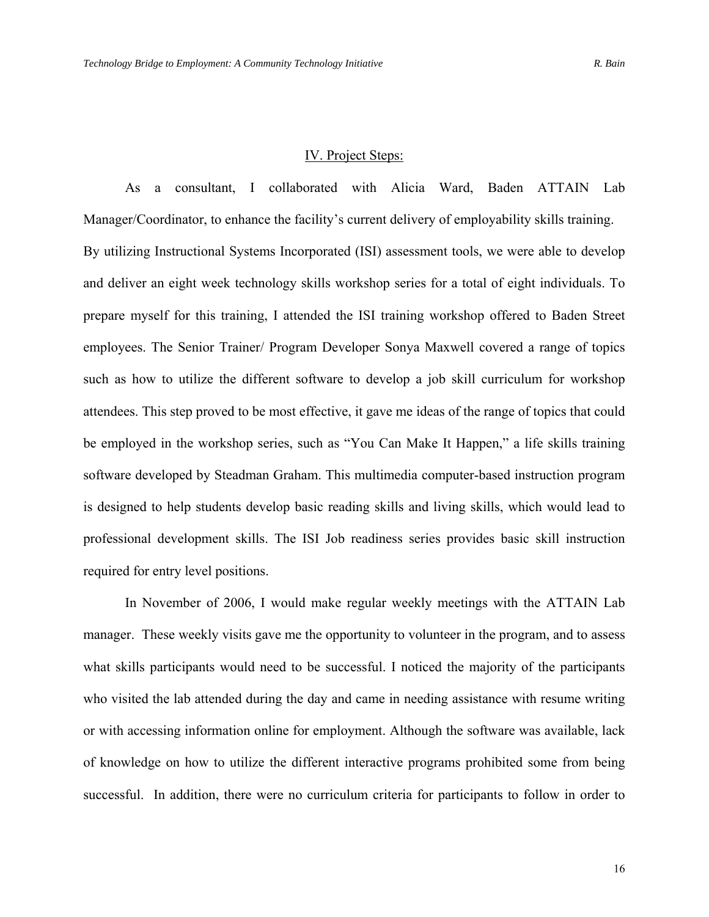#### IV. Project Steps:

As a consultant, I collaborated with Alicia Ward, Baden ATTAIN Lab Manager/Coordinator, to enhance the facility's current delivery of employability skills training. By utilizing Instructional Systems Incorporated (ISI) assessment tools, we were able to develop and deliver an eight week technology skills workshop series for a total of eight individuals. To prepare myself for this training, I attended the ISI training workshop offered to Baden Street employees. The Senior Trainer/ Program Developer Sonya Maxwell covered a range of topics such as how to utilize the different software to develop a job skill curriculum for workshop attendees. This step proved to be most effective, it gave me ideas of the range of topics that could be employed in the workshop series, such as "You Can Make It Happen," a life skills training software developed by Steadman Graham. This multimedia computer-based instruction program is designed to help students develop basic reading skills and living skills, which would lead to professional development skills. The ISI Job readiness series provides basic skill instruction required for entry level positions.

In November of 2006, I would make regular weekly meetings with the ATTAIN Lab manager. These weekly visits gave me the opportunity to volunteer in the program, and to assess what skills participants would need to be successful. I noticed the majority of the participants who visited the lab attended during the day and came in needing assistance with resume writing or with accessing information online for employment. Although the software was available, lack of knowledge on how to utilize the different interactive programs prohibited some from being successful. In addition, there were no curriculum criteria for participants to follow in order to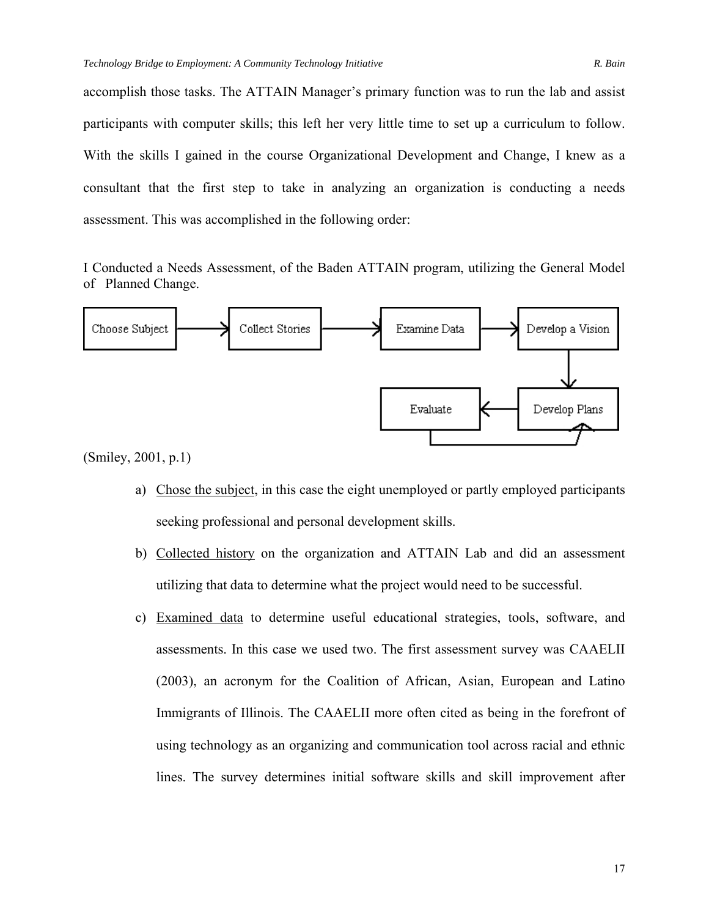accomplish those tasks. The ATTAIN Manager's primary function was to run the lab and assist participants with computer skills; this left her very little time to set up a curriculum to follow. With the skills I gained in the course Organizational Development and Change, I knew as a consultant that the first step to take in analyzing an organization is conducting a needs assessment. This was accomplished in the following order:

I Conducted a Needs Assessment, of the Baden ATTAIN program, utilizing the General Model of Planned Change.



(Smiley, 2001, p.1)

- a) Chose the subject, in this case the eight unemployed or partly employed participants seeking professional and personal development skills.
- b) Collected history on the organization and ATTAIN Lab and did an assessment utilizing that data to determine what the project would need to be successful.
- c) Examined data to determine useful educational strategies, tools, software, and assessments. In this case we used two. The first assessment survey was CAAELII (2003), an acronym for the Coalition of African, Asian, European and Latino Immigrants of Illinois. The CAAELII more often cited as being in the forefront of using technology as an organizing and communication tool across racial and ethnic lines. The survey determines initial software skills and skill improvement after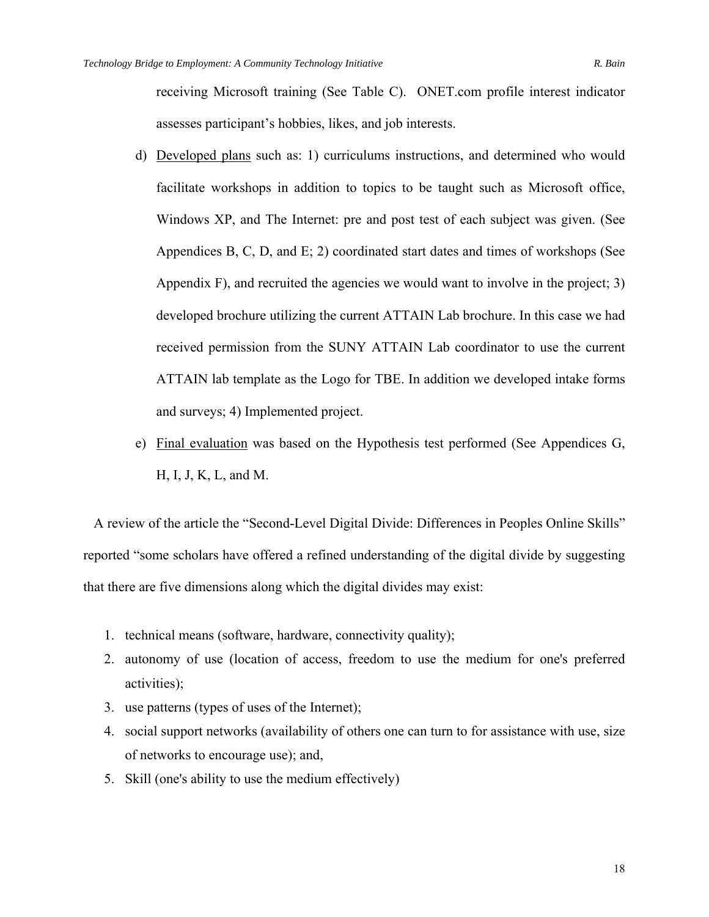receiving Microsoft training (See Table C). ONET.com profile interest indicator assesses participant's hobbies, likes, and job interests.

- d) Developed plans such as: 1) curriculums instructions, and determined who would facilitate workshops in addition to topics to be taught such as Microsoft office, Windows XP, and The Internet: pre and post test of each subject was given. (See Appendices B, C, D, and E; 2) coordinated start dates and times of workshops (See Appendix F), and recruited the agencies we would want to involve in the project; 3) developed brochure utilizing the current ATTAIN Lab brochure. In this case we had received permission from the SUNY ATTAIN Lab coordinator to use the current ATTAIN lab template as the Logo for TBE. In addition we developed intake forms and surveys; 4) Implemented project.
- e) Final evaluation was based on the Hypothesis test performed (See Appendices G, H, I, J, K, L, and M.

 A review of the article the "Second-Level Digital Divide: Differences in Peoples Online Skills" reported "some scholars have offered a refined understanding of the digital divide by suggesting that there are five dimensions along which the digital divides may exist:

- 1. technical means (software, hardware, connectivity quality);
- 2. autonomy of use (location of access, freedom to use the medium for one's preferred activities);
- 3. use patterns (types of uses of the Internet);
- 4. social support networks (availability of others one can turn to for assistance with use, size of networks to encourage use); and,
- 5. Skill (one's ability to use the medium effectively)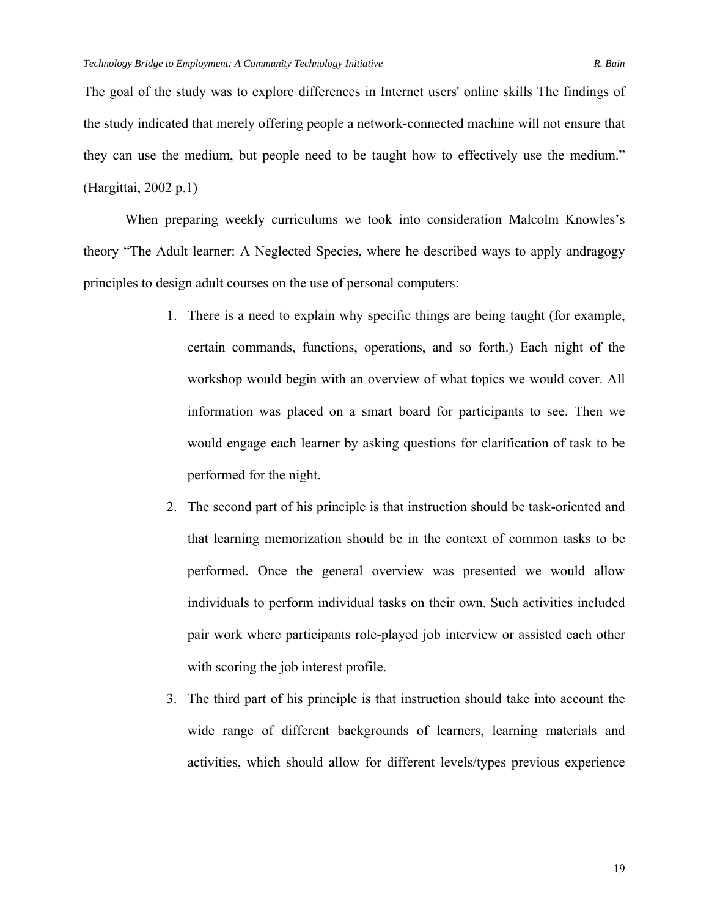The goal of the study was to explore differences in Internet users' online skills The findings of the study indicated that merely offering people a network-connected machine will not ensure that they can use the medium, but people need to be taught how to effectively use the medium." (Hargittai, 2002 p.1)

 When preparing weekly curriculums we took into consideration Malcolm Knowles's theory "The Adult learner: A Neglected Species, where he described ways to apply andragogy principles to design adult courses on the use of personal computers:

- 1. There is a need to explain why specific things are being taught (for example, certain commands, functions, operations, and so forth.) Each night of the workshop would begin with an overview of what topics we would cover. All information was placed on a smart board for participants to see. Then we would engage each learner by asking questions for clarification of task to be performed for the night.
- 2. The second part of his principle is that instruction should be task-oriented and that learning memorization should be in the context of common tasks to be performed. Once the general overview was presented we would allow individuals to perform individual tasks on their own. Such activities included pair work where participants role-played job interview or assisted each other with scoring the job interest profile.
- 3. The third part of his principle is that instruction should take into account the wide range of different backgrounds of learners, learning materials and activities, which should allow for different levels/types previous experience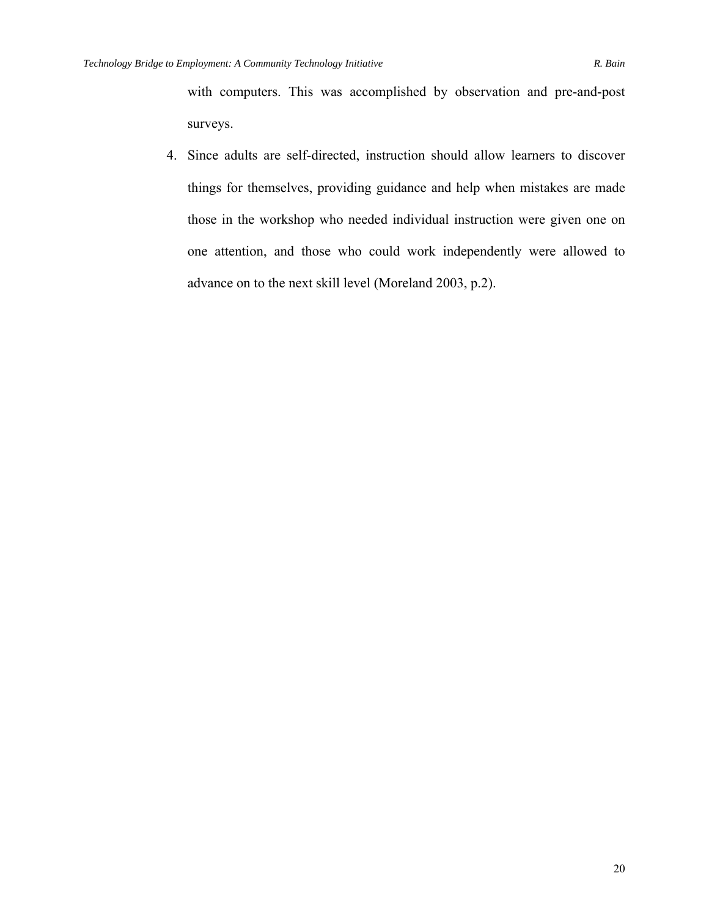with computers. This was accomplished by observation and pre-and-post surveys.

4. Since adults are self-directed, instruction should allow learners to discover things for themselves, providing guidance and help when mistakes are made those in the workshop who needed individual instruction were given one on one attention, and those who could work independently were allowed to advance on to the next skill level (Moreland 2003, p.2).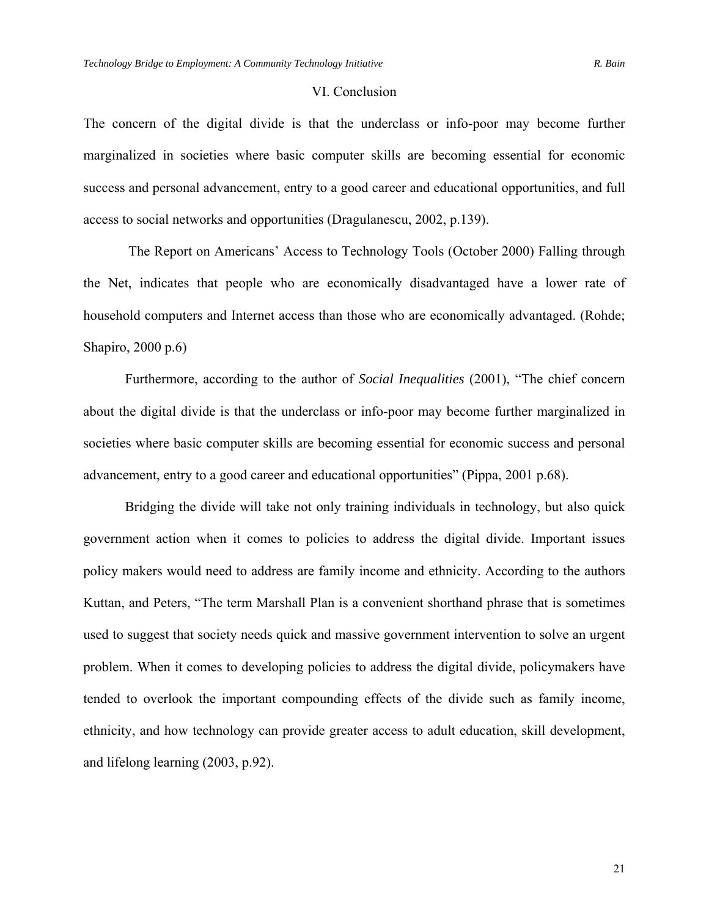#### VI. Conclusion

The concern of the digital divide is that the underclass or info-poor may become further marginalized in societies where basic computer skills are becoming essential for economic success and personal advancement, entry to a good career and educational opportunities, and full access to social networks and opportunities (Dragulanescu, 2002, p.139).

 The Report on Americans' Access to Technology Tools (October 2000) Falling through the Net, indicates that people who are economically disadvantaged have a lower rate of household computers and Internet access than those who are economically advantaged. (Rohde; Shapiro, 2000 p.6)

Furthermore, according to the author of *Social Inequalities* (2001), "The chief concern about the digital divide is that the underclass or info-poor may become further marginalized in societies where basic computer skills are becoming essential for economic success and personal advancement, entry to a good career and educational opportunities" (Pippa, 2001 p.68).

Bridging the divide will take not only training individuals in technology, but also quick government action when it comes to policies to address the digital divide. Important issues policy makers would need to address are family income and ethnicity. According to the authors Kuttan, and Peters, "The term Marshall Plan is a convenient shorthand phrase that is sometimes used to suggest that society needs quick and massive government intervention to solve an urgent problem. When it comes to developing policies to address the digital divide, policymakers have tended to overlook the important compounding effects of the divide such as family income, ethnicity, and how technology can provide greater access to adult education, skill development, and lifelong learning (2003, p.92).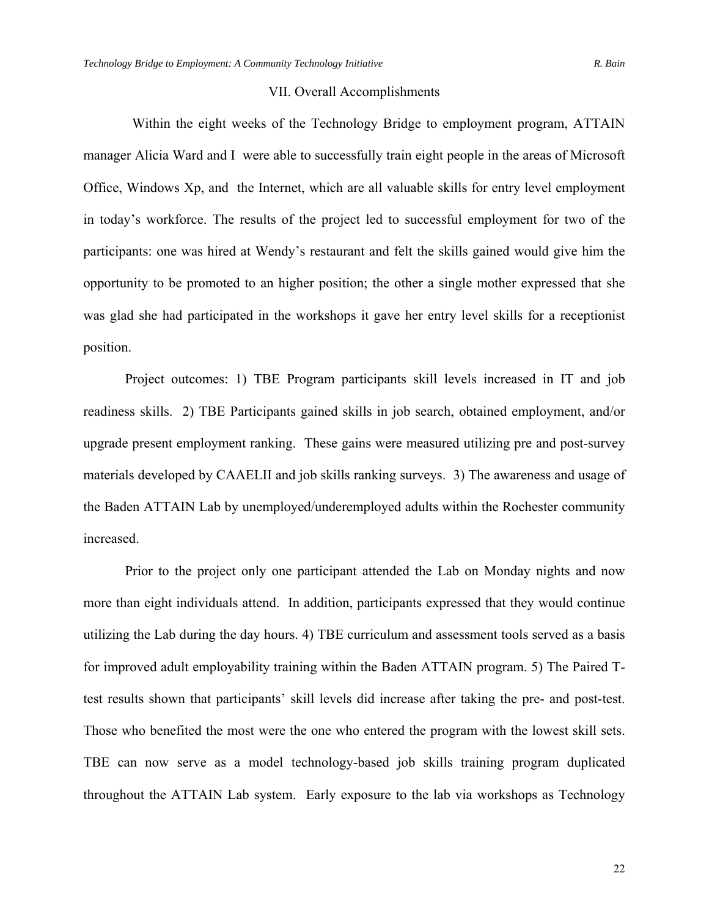#### VII. Overall Accomplishments

 Within the eight weeks of the Technology Bridge to employment program, ATTAIN manager Alicia Ward and I were able to successfully train eight people in the areas of Microsoft Office, Windows Xp, and the Internet, which are all valuable skills for entry level employment in today's workforce. The results of the project led to successful employment for two of the participants: one was hired at Wendy's restaurant and felt the skills gained would give him the opportunity to be promoted to an higher position; the other a single mother expressed that she was glad she had participated in the workshops it gave her entry level skills for a receptionist position.

Project outcomes: 1) TBE Program participants skill levels increased in IT and job readiness skills. 2) TBE Participants gained skills in job search, obtained employment, and/or upgrade present employment ranking. These gains were measured utilizing pre and post-survey materials developed by CAAELII and job skills ranking surveys. 3) The awareness and usage of the Baden ATTAIN Lab by unemployed/underemployed adults within the Rochester community increased.

Prior to the project only one participant attended the Lab on Monday nights and now more than eight individuals attend. In addition, participants expressed that they would continue utilizing the Lab during the day hours. 4) TBE curriculum and assessment tools served as a basis for improved adult employability training within the Baden ATTAIN program. 5) The Paired Ttest results shown that participants' skill levels did increase after taking the pre- and post-test. Those who benefited the most were the one who entered the program with the lowest skill sets. TBE can now serve as a model technology-based job skills training program duplicated throughout the ATTAIN Lab system. Early exposure to the lab via workshops as Technology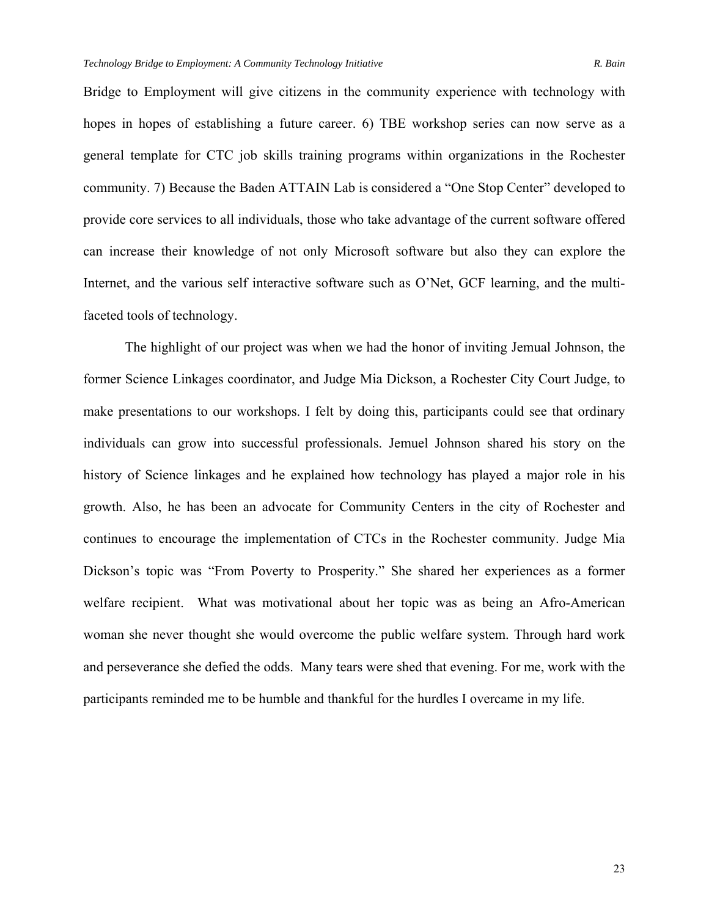Bridge to Employment will give citizens in the community experience with technology with hopes in hopes of establishing a future career. 6) TBE workshop series can now serve as a general template for CTC job skills training programs within organizations in the Rochester community. 7) Because the Baden ATTAIN Lab is considered a "One Stop Center" developed to provide core services to all individuals, those who take advantage of the current software offered can increase their knowledge of not only Microsoft software but also they can explore the Internet, and the various self interactive software such as O'Net, GCF learning, and the multifaceted tools of technology.

The highlight of our project was when we had the honor of inviting Jemual Johnson, the former Science Linkages coordinator, and Judge Mia Dickson, a Rochester City Court Judge, to make presentations to our workshops. I felt by doing this, participants could see that ordinary individuals can grow into successful professionals. Jemuel Johnson shared his story on the history of Science linkages and he explained how technology has played a major role in his growth. Also, he has been an advocate for Community Centers in the city of Rochester and continues to encourage the implementation of CTCs in the Rochester community. Judge Mia Dickson's topic was "From Poverty to Prosperity." She shared her experiences as a former welfare recipient. What was motivational about her topic was as being an Afro-American woman she never thought she would overcome the public welfare system. Through hard work and perseverance she defied the odds. Many tears were shed that evening. For me, work with the participants reminded me to be humble and thankful for the hurdles I overcame in my life.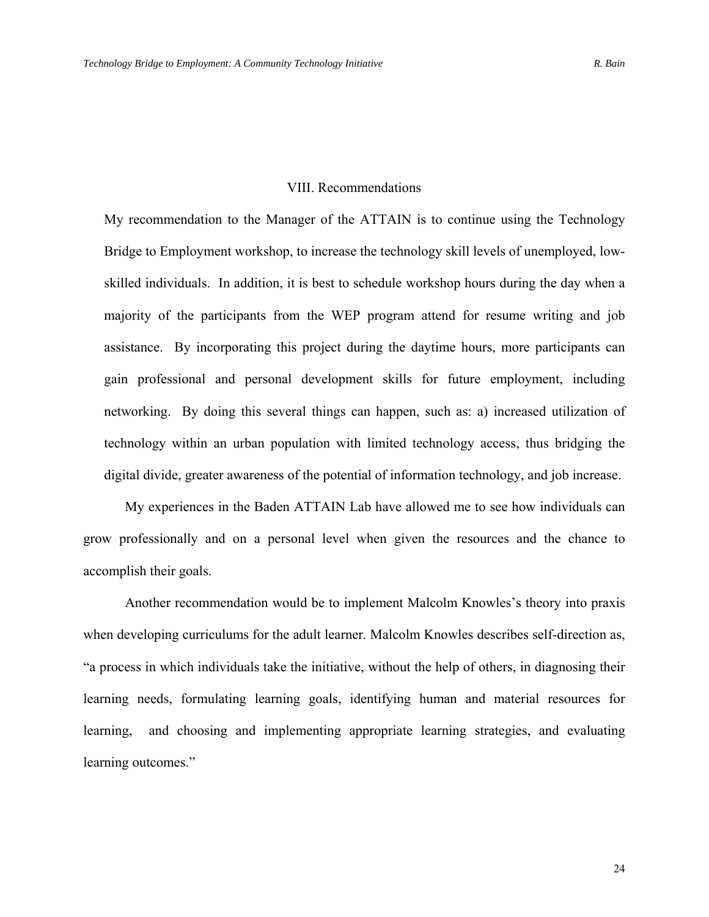#### VIII. Recommendations

My recommendation to the Manager of the ATTAIN is to continue using the Technology Bridge to Employment workshop, to increase the technology skill levels of unemployed, lowskilled individuals. In addition, it is best to schedule workshop hours during the day when a majority of the participants from the WEP program attend for resume writing and job assistance. By incorporating this project during the daytime hours, more participants can gain professional and personal development skills for future employment, including networking. By doing this several things can happen, such as: a) increased utilization of technology within an urban population with limited technology access, thus bridging the digital divide, greater awareness of the potential of information technology, and job increase.

 My experiences in the Baden ATTAIN Lab have allowed me to see how individuals can grow professionally and on a personal level when given the resources and the chance to accomplish their goals.

 Another recommendation would be to implement Malcolm Knowles's theory into praxis when developing curriculums for the adult learner. Malcolm Knowles describes self-direction as, "a process in which individuals take the initiative, without the help of others, in diagnosing their learning needs, formulating learning goals, identifying human and material resources for learning, and choosing and implementing appropriate learning strategies, and evaluating learning outcomes."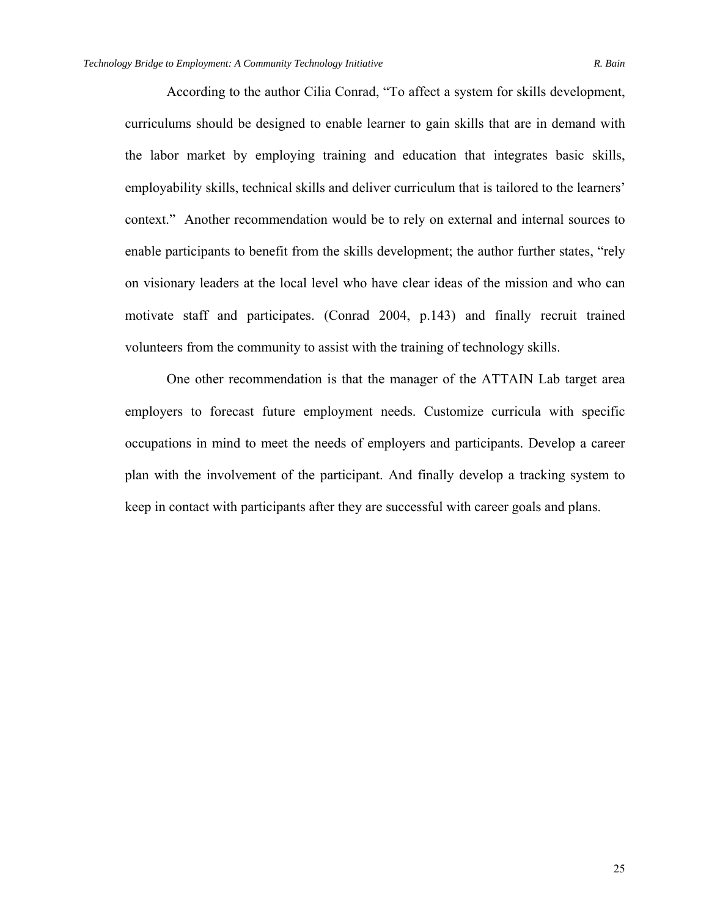According to the author Cilia Conrad, "To affect a system for skills development, curriculums should be designed to enable learner to gain skills that are in demand with the labor market by employing training and education that integrates basic skills, employability skills, technical skills and deliver curriculum that is tailored to the learners' context." Another recommendation would be to rely on external and internal sources to enable participants to benefit from the skills development; the author further states, "rely on visionary leaders at the local level who have clear ideas of the mission and who can motivate staff and participates. (Conrad 2004, p.143) and finally recruit trained volunteers from the community to assist with the training of technology skills.

 One other recommendation is that the manager of the ATTAIN Lab target area employers to forecast future employment needs. Customize curricula with specific occupations in mind to meet the needs of employers and participants. Develop a career plan with the involvement of the participant. And finally develop a tracking system to keep in contact with participants after they are successful with career goals and plans.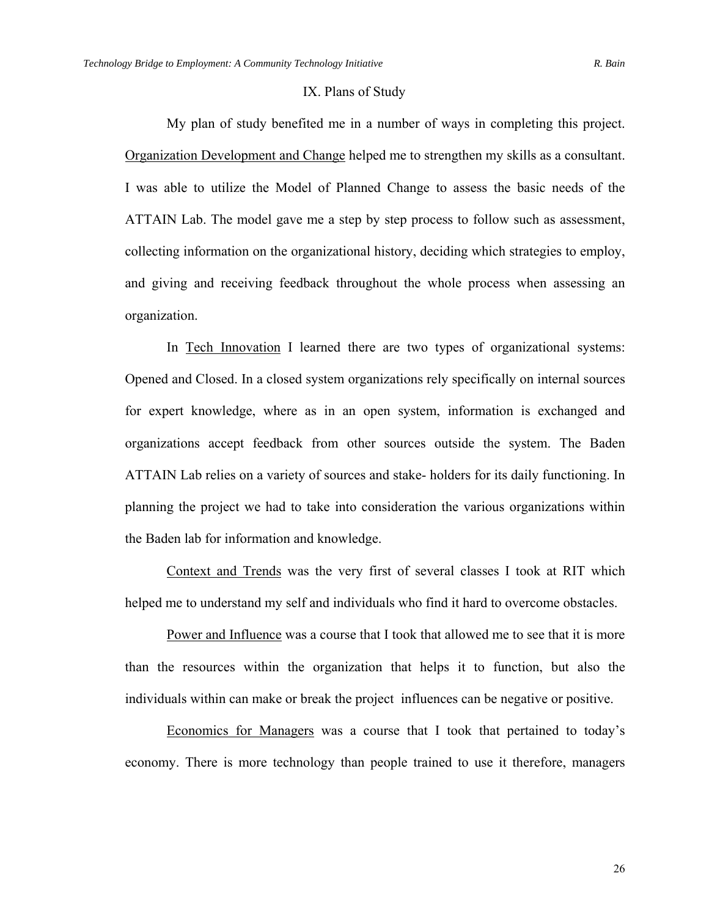#### IX. Plans of Study

My plan of study benefited me in a number of ways in completing this project. Organization Development and Change helped me to strengthen my skills as a consultant. I was able to utilize the Model of Planned Change to assess the basic needs of the ATTAIN Lab. The model gave me a step by step process to follow such as assessment, collecting information on the organizational history, deciding which strategies to employ, and giving and receiving feedback throughout the whole process when assessing an organization.

 In Tech Innovation I learned there are two types of organizational systems: Opened and Closed. In a closed system organizations rely specifically on internal sources for expert knowledge, where as in an open system, information is exchanged and organizations accept feedback from other sources outside the system. The Baden ATTAIN Lab relies on a variety of sources and stake- holders for its daily functioning. In planning the project we had to take into consideration the various organizations within the Baden lab for information and knowledge.

Context and Trends was the very first of several classes I took at RIT which helped me to understand my self and individuals who find it hard to overcome obstacles.

 Power and Influence was a course that I took that allowed me to see that it is more than the resources within the organization that helps it to function, but also the individuals within can make or break the project influences can be negative or positive.

 Economics for Managers was a course that I took that pertained to today's economy. There is more technology than people trained to use it therefore, managers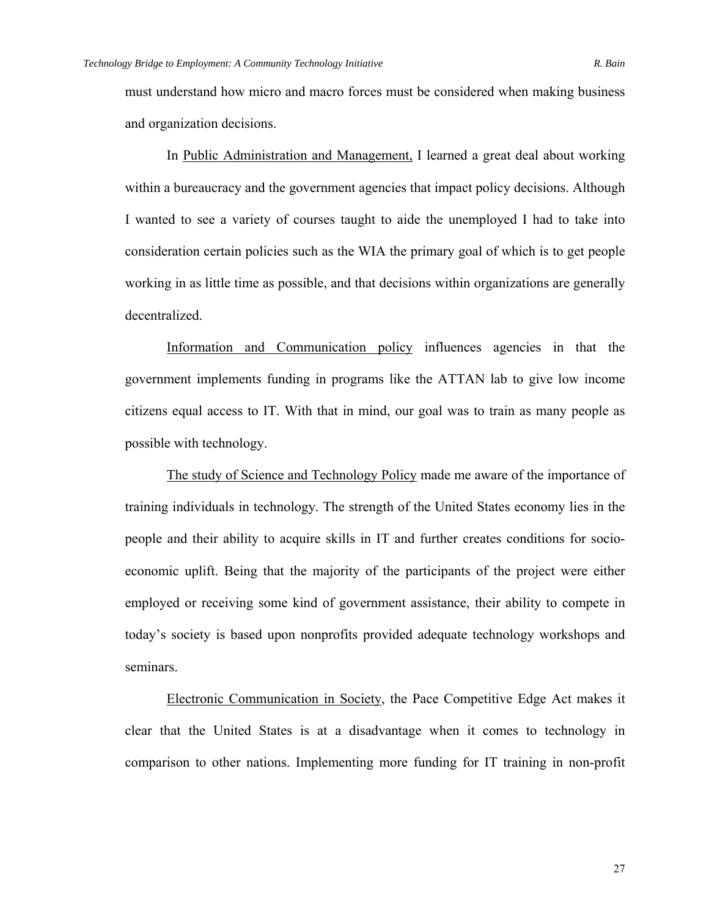must understand how micro and macro forces must be considered when making business and organization decisions.

 In Public Administration and Management, I learned a great deal about working within a bureaucracy and the government agencies that impact policy decisions. Although I wanted to see a variety of courses taught to aide the unemployed I had to take into consideration certain policies such as the WIA the primary goal of which is to get people working in as little time as possible, and that decisions within organizations are generally decentralized.

 Information and Communication policy influences agencies in that the government implements funding in programs like the ATTAN lab to give low income citizens equal access to IT. With that in mind, our goal was to train as many people as possible with technology.

 The study of Science and Technology Policy made me aware of the importance of training individuals in technology. The strength of the United States economy lies in the people and their ability to acquire skills in IT and further creates conditions for socioeconomic uplift. Being that the majority of the participants of the project were either employed or receiving some kind of government assistance, their ability to compete in today's society is based upon nonprofits provided adequate technology workshops and seminars.

 Electronic Communication in Society, the Pace Competitive Edge Act makes it clear that the United States is at a disadvantage when it comes to technology in comparison to other nations. Implementing more funding for IT training in non-profit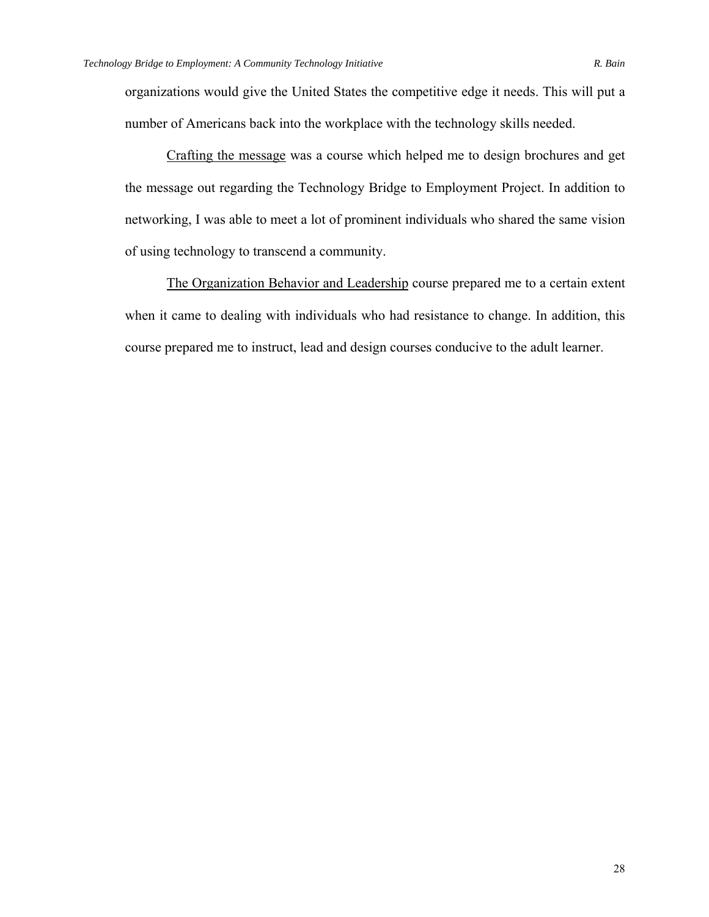organizations would give the United States the competitive edge it needs. This will put a number of Americans back into the workplace with the technology skills needed.

 Crafting the message was a course which helped me to design brochures and get the message out regarding the Technology Bridge to Employment Project. In addition to networking, I was able to meet a lot of prominent individuals who shared the same vision of using technology to transcend a community.

The Organization Behavior and Leadership course prepared me to a certain extent when it came to dealing with individuals who had resistance to change. In addition, this course prepared me to instruct, lead and design courses conducive to the adult learner.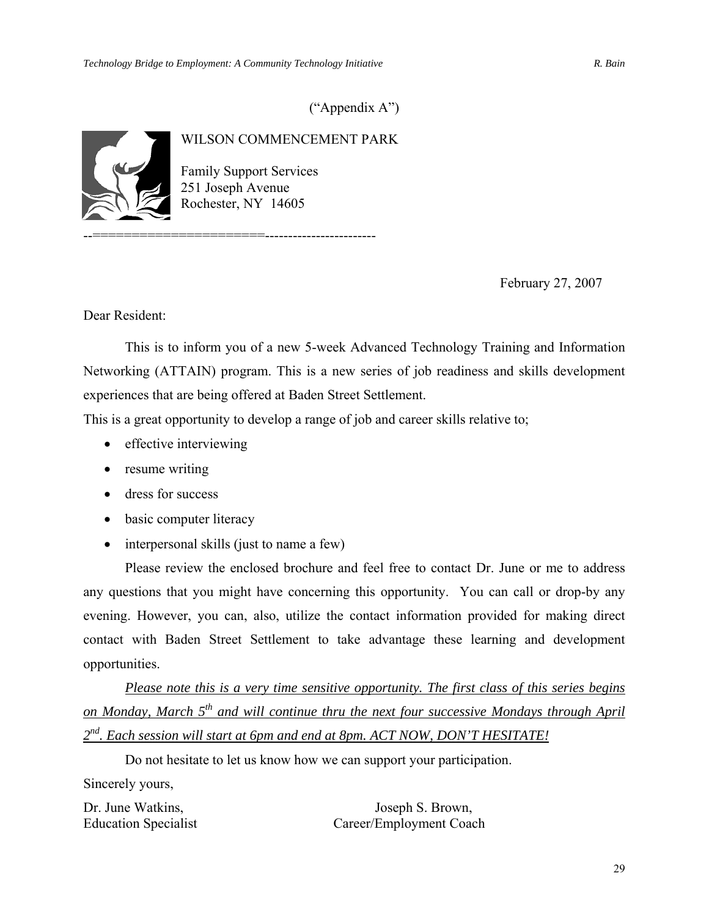### ("Appendix A")



### WILSON COMMENCEMENT PARK

Family Support Services 251 Joseph Avenue Rochester, NY 14605

February 27, 2007

Dear Resident:

 This is to inform you of a new 5-week Advanced Technology Training and Information Networking (ATTAIN) program. This is a new series of job readiness and skills development experiences that are being offered at Baden Street Settlement.

This is a great opportunity to develop a range of job and career skills relative to;

- effective interviewing
- resume writing
- dress for success
- basic computer literacy
- interpersonal skills (just to name a few)

Please review the enclosed brochure and feel free to contact Dr. June or me to address any questions that you might have concerning this opportunity. You can call or drop-by any evening. However, you can, also, utilize the contact information provided for making direct contact with Baden Street Settlement to take advantage these learning and development opportunities.

*Please note this is a very time sensitive opportunity. The first class of this series begins on Monday, March 5th and will continue thru the next four successive Mondays through April 2nd. Each session will start at 6pm and end at 8pm. ACT NOW, DON'T HESITATE!* 

Do not hesitate to let us know how we can support your participation.

Sincerely yours,

Dr. June Watkins, Joseph S. Brown, Education Specialist Career/Employment Coach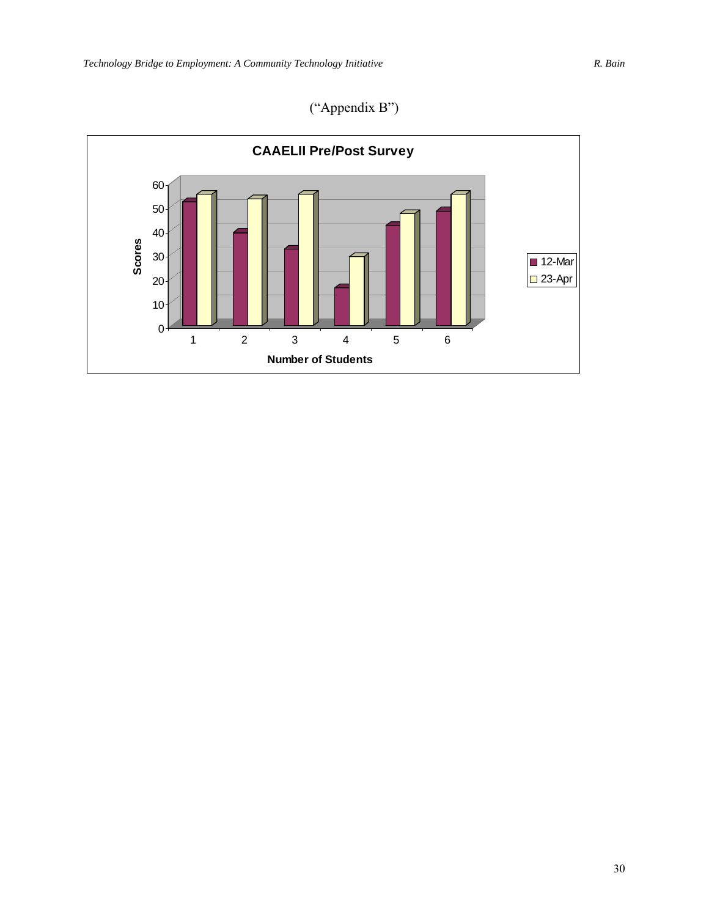("Appendix B")

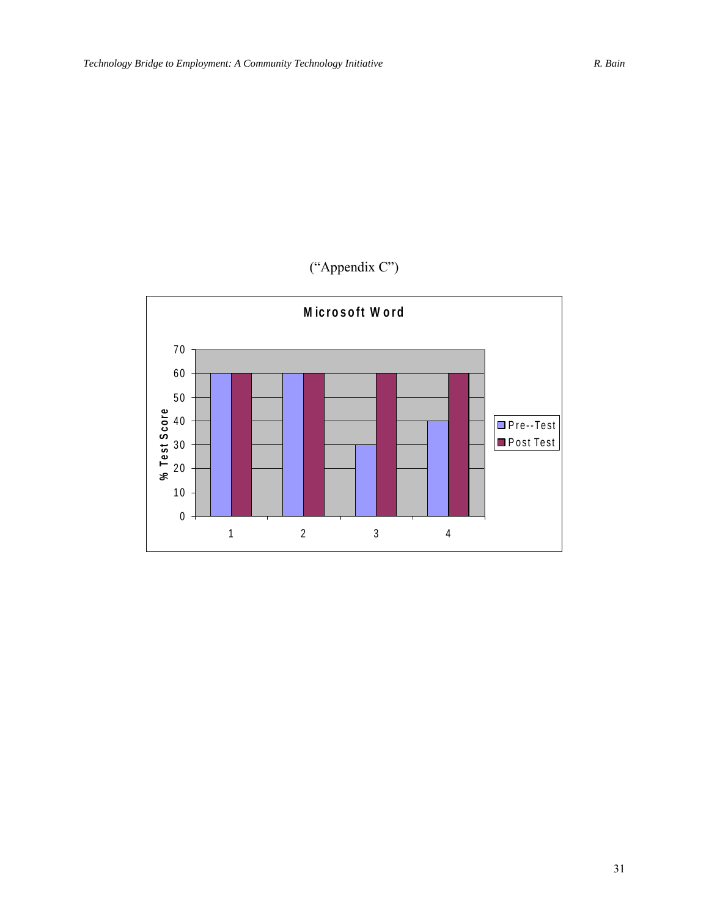# ("Appendix C")

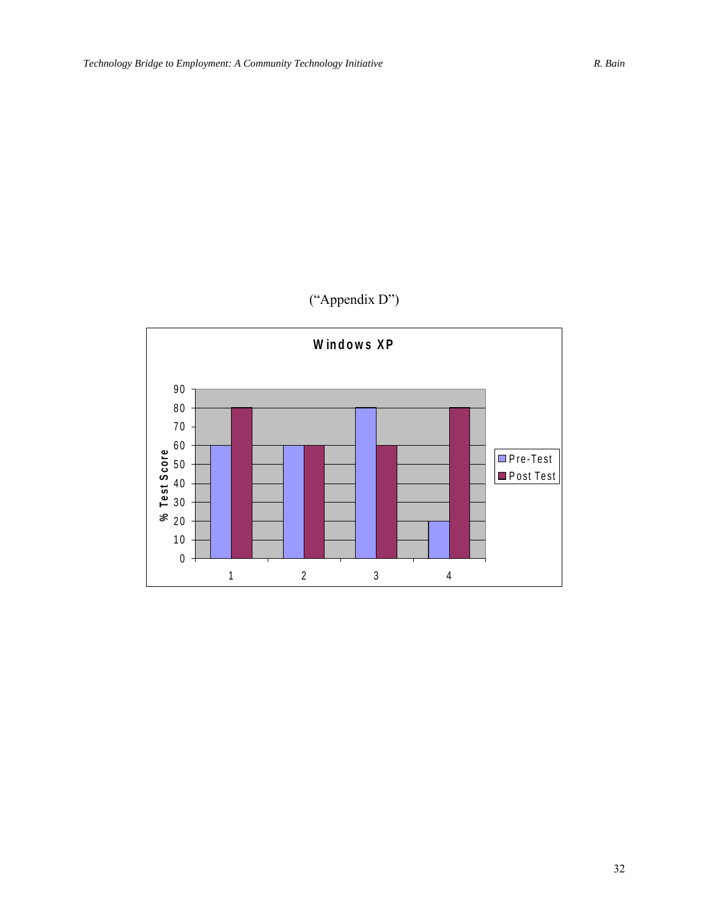### ("Appendix D")

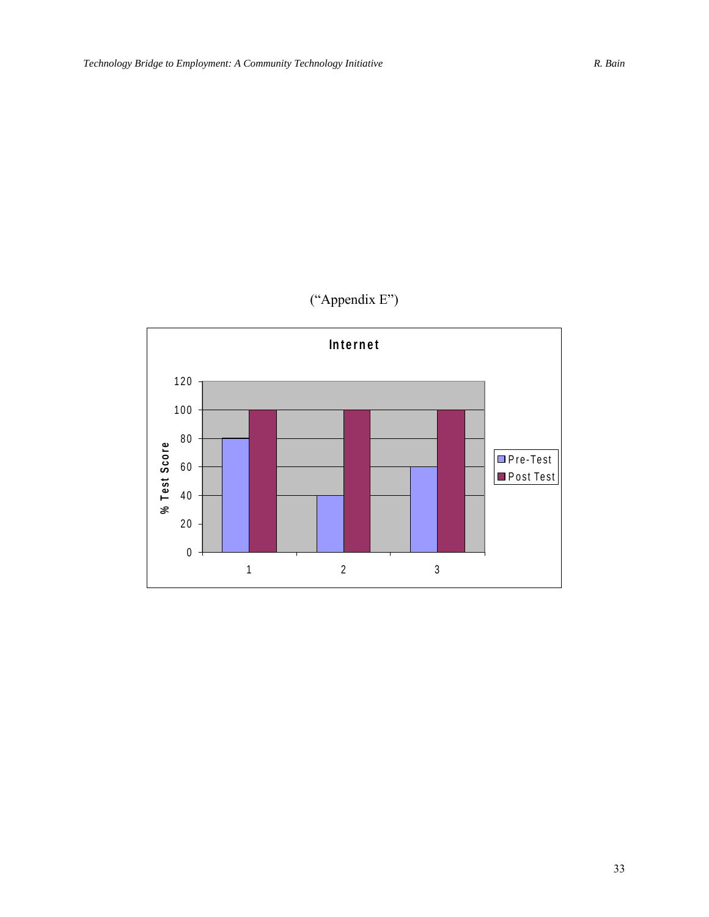# ("Appendix E")

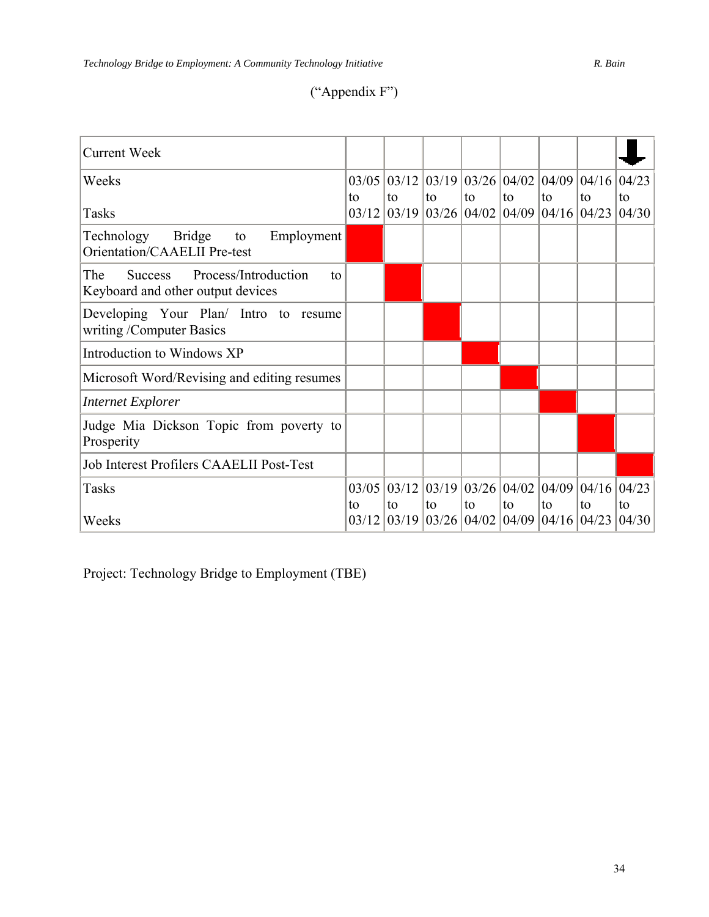## ("Appendix F")

| <b>Current Week</b>                                                                      |             |       |                                                                                                         |                                             |    |                                        |              |              |
|------------------------------------------------------------------------------------------|-------------|-------|---------------------------------------------------------------------------------------------------------|---------------------------------------------|----|----------------------------------------|--------------|--------------|
| Weeks                                                                                    | 03/05       |       | $\left  03/12 \right  03/19 \left  03/26 \right  04/02 \left  04/09 \right  04/16 \left  04/16 \right $ |                                             |    |                                        |              | 04/23        |
| Tasks                                                                                    | to<br>03/12 | to    | to<br>$\left  03/19 \right  03/26 \left  04/02 \right  04/09 \left  04/16 \right $                      | to                                          | to | to                                     | to<br> 04/23 | to<br>04/30  |
| Technology<br><b>Bridge</b><br>Employment<br>to<br>Orientation/CAAELII Pre-test          |             |       |                                                                                                         |                                             |    |                                        |              |              |
| Process/Introduction<br>The<br><b>Success</b><br>to<br>Keyboard and other output devices |             |       |                                                                                                         |                                             |    |                                        |              |              |
| Developing Your Plan/ Intro to resume<br>writing /Computer Basics                        |             |       |                                                                                                         |                                             |    |                                        |              |              |
| Introduction to Windows XP                                                               |             |       |                                                                                                         |                                             |    |                                        |              |              |
| Microsoft Word/Revising and editing resumes                                              |             |       |                                                                                                         |                                             |    |                                        |              |              |
| <b>Internet Explorer</b>                                                                 |             |       |                                                                                                         |                                             |    |                                        |              |              |
| Judge Mia Dickson Topic from poverty to<br>Prosperity                                    |             |       |                                                                                                         |                                             |    |                                        |              |              |
| <b>Job Interest Profilers CAAELII Post-Test</b>                                          |             |       |                                                                                                         |                                             |    |                                        |              |              |
| <b>Tasks</b>                                                                             | 03/05       | 03/12 |                                                                                                         | $\left 03/19\right 03/26\left 04/02\right $ |    | 04/09 04/16 04/23                      |              |              |
| Weeks                                                                                    | to<br>03/12 | to    | to<br>$03/19$ 03/26 04/02                                                                               | to                                          | to | to<br>$\left 04/09\right 04/16\right $ | to<br> 04/23 | to<br> 04/30 |

Project: Technology Bridge to Employment (TBE)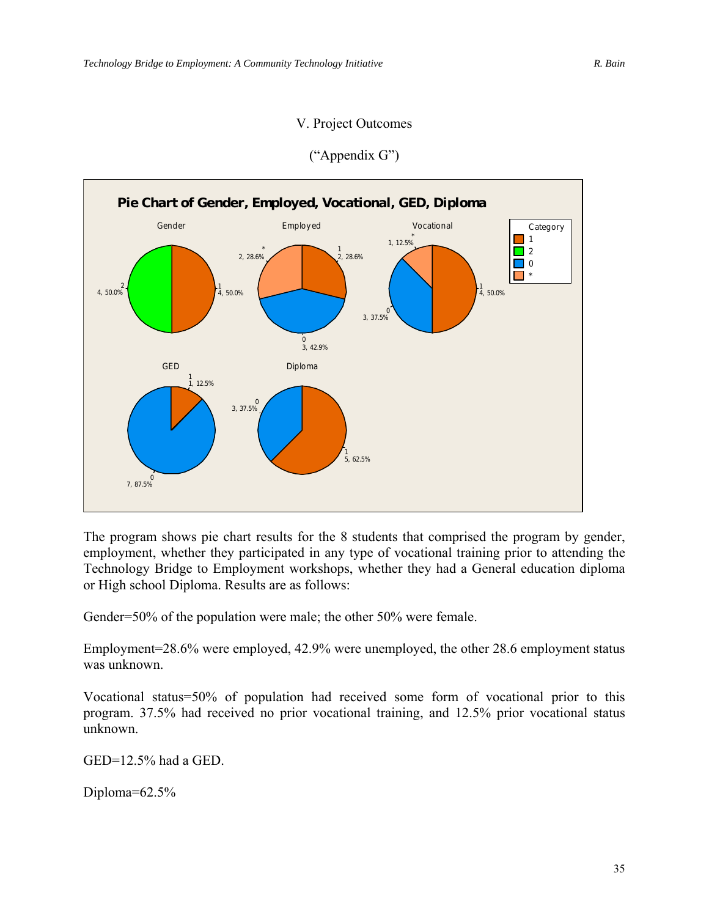### V. Project Outcomes



### ("Appendix G")

The program shows pie chart results for the 8 students that comprised the program by gender, employment, whether they participated in any type of vocational training prior to attending the Technology Bridge to Employment workshops, whether they had a General education diploma or High school Diploma. Results are as follows:

Gender=50% of the population were male; the other 50% were female.

Employment=28.6% were employed, 42.9% were unemployed, the other 28.6 employment status was unknown.

Vocational status=50% of population had received some form of vocational prior to this program. 37.5% had received no prior vocational training, and 12.5% prior vocational status unknown.

GED=12.5% had a GED.

Diploma=62.5%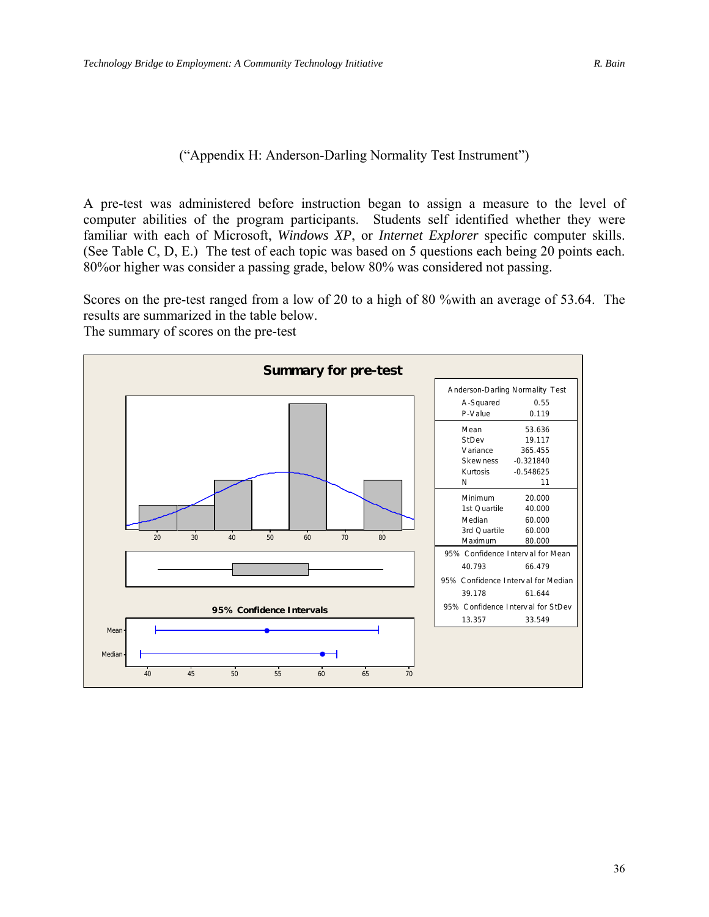### ("Appendix H: Anderson-Darling Normality Test Instrument")

A pre-test was administered before instruction began to assign a measure to the level of computer abilities of the program participants. Students self identified whether they were familiar with each of Microsoft, *Windows XP*, or *Internet Explorer* specific computer skills. (See Table C, D, E.) The test of each topic was based on 5 questions each being 20 points each. 80%or higher was consider a passing grade, below 80% was considered not passing.

Scores on the pre-test ranged from a low of 20 to a high of 80 %with an average of 53.64. The results are summarized in the table below.

The summary of scores on the pre-test

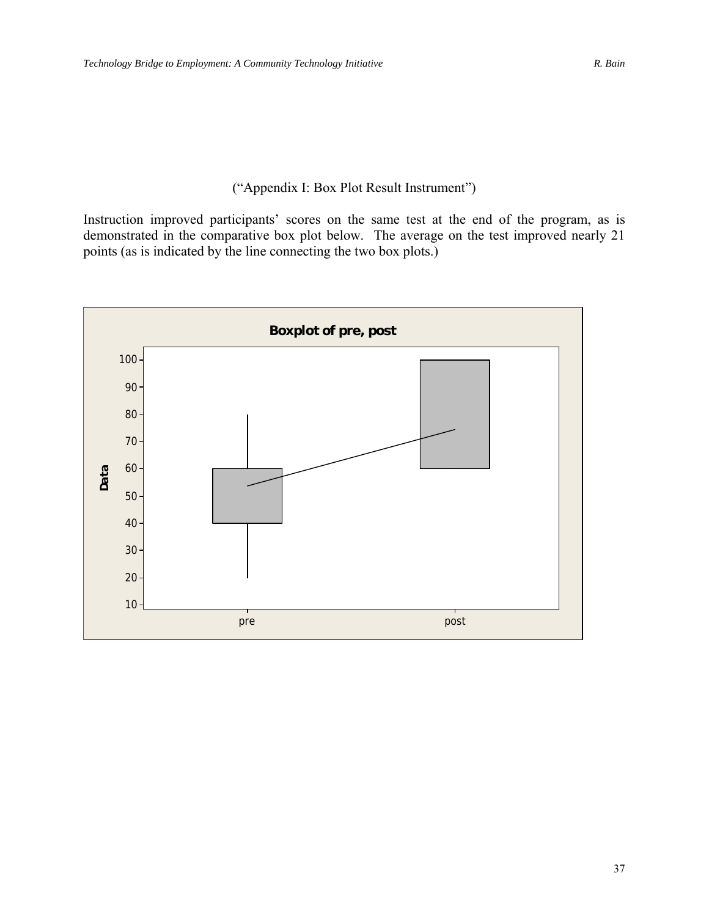### ("Appendix I: Box Plot Result Instrument")

Instruction improved participants' scores on the same test at the end of the program, as is demonstrated in the comparative box plot below. The average on the test improved nearly 21 points (as is indicated by the line connecting the two box plots.)

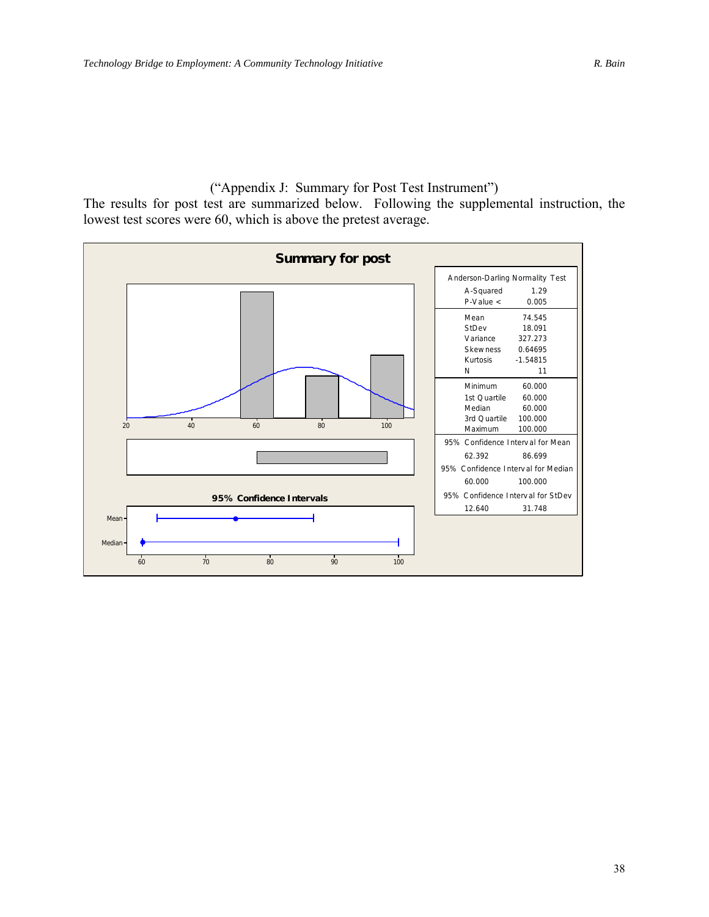("Appendix J: Summary for Post Test Instrument") The results for post test are summarized below. Following the supplemental instruction, the lowest test scores were 60, which is above the pretest average.

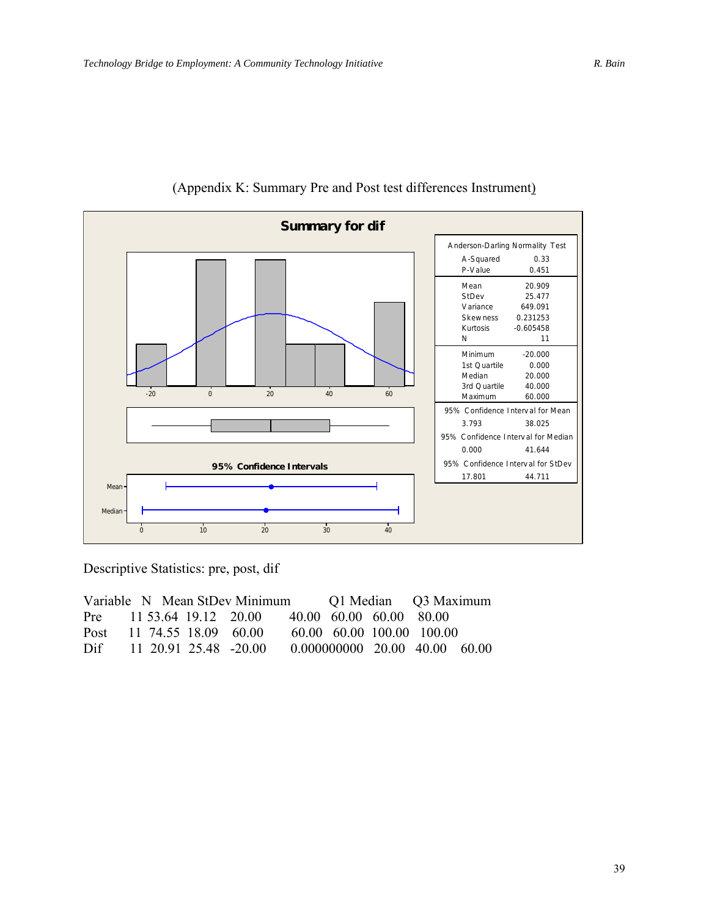

### (Appendix K: Summary Pre and Post test differences Instrument)

Descriptive Statistics: pre, post, dif

| Variable N Mean StDev Minimum |  |  |                       | Q1 Median Q3 Maximum |                         |                                       |  |
|-------------------------------|--|--|-----------------------|----------------------|-------------------------|---------------------------------------|--|
| Pre $11\,53.64\,19.12\,20.00$ |  |  |                       |                      | 40.00 60.00 60.00 80.00 |                                       |  |
| Post                          |  |  | 11 74.55 18.09 60.00  |                      |                         | 60.00 60.00 100.00 100.00             |  |
| Dif                           |  |  | 11 20.91 25.48 -20.00 |                      |                         | $0.000000000$ $20.00$ $40.00$ $60.00$ |  |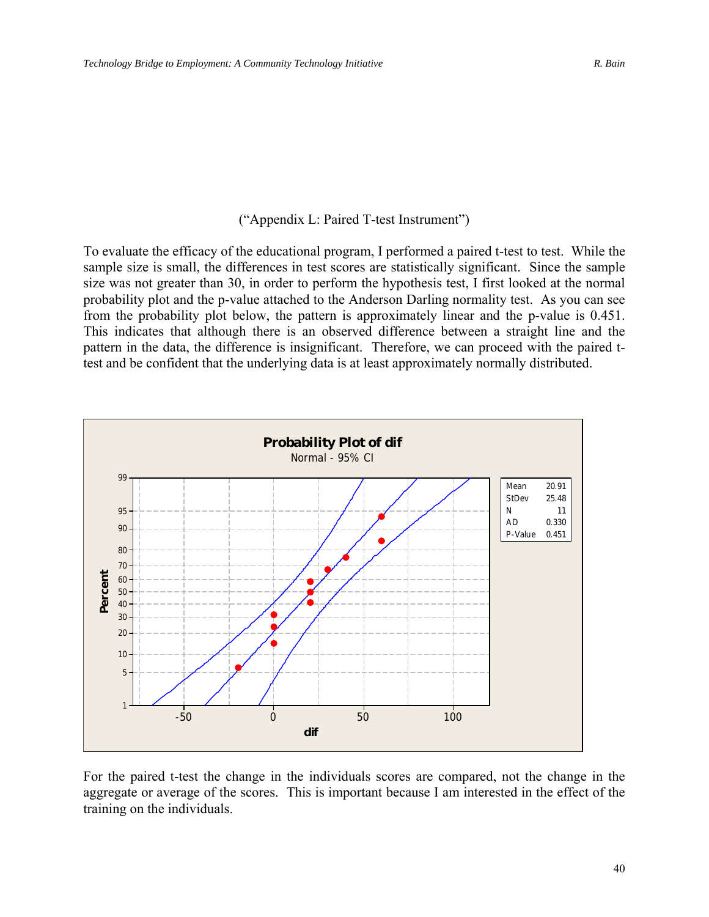### ("Appendix L: Paired T-test Instrument")

To evaluate the efficacy of the educational program, I performed a paired t-test to test. While the sample size is small, the differences in test scores are statistically significant. Since the sample size was not greater than 30, in order to perform the hypothesis test, I first looked at the normal probability plot and the p-value attached to the Anderson Darling normality test. As you can see from the probability plot below, the pattern is approximately linear and the p-value is 0.451. This indicates that although there is an observed difference between a straight line and the pattern in the data, the difference is insignificant. Therefore, we can proceed with the paired ttest and be confident that the underlying data is at least approximately normally distributed.



For the paired t-test the change in the individuals scores are compared, not the change in the aggregate or average of the scores. This is important because I am interested in the effect of the training on the individuals.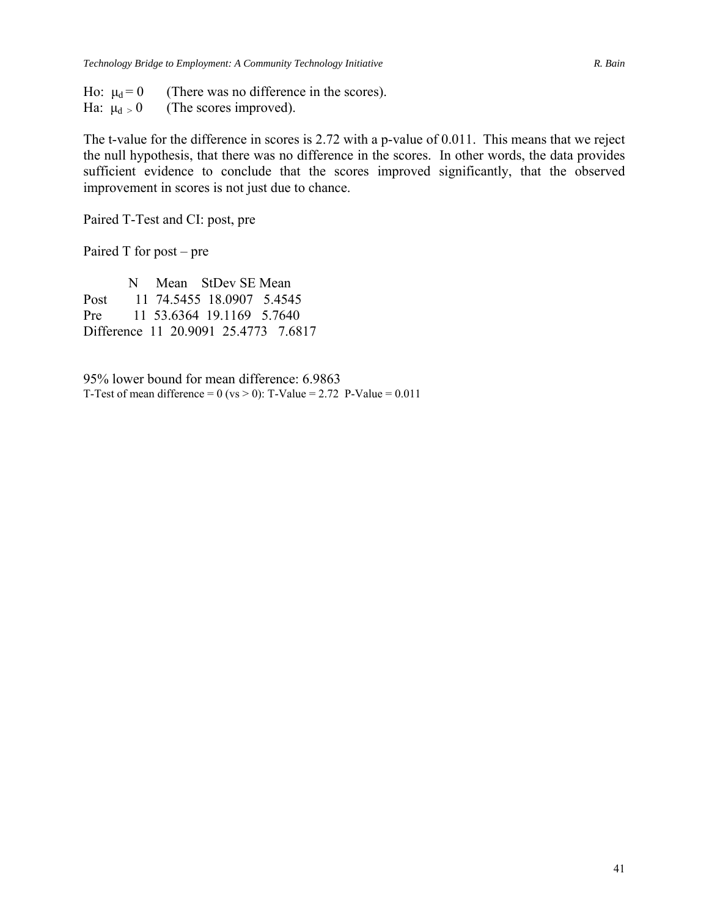Ho:  $\mu_d = 0$  (There was no difference in the scores). Ha:  $\mu_d > 0$  (The scores improved).

The t-value for the difference in scores is 2.72 with a p-value of 0.011. This means that we reject the null hypothesis, that there was no difference in the scores. In other words, the data provides sufficient evidence to conclude that the scores improved significantly, that the observed improvement in scores is not just due to chance.

Paired T-Test and CI: post, pre

Paired T for post – pre

 N Mean StDev SE Mean Post 11 74.5455 18.0907 5.4545 Pre 11 53.6364 19.1169 5.7640 Difference 11 20.9091 25.4773 7.6817

95% lower bound for mean difference: 6.9863 T-Test of mean difference =  $0$  (vs > 0): T-Value = 2.72 P-Value = 0.011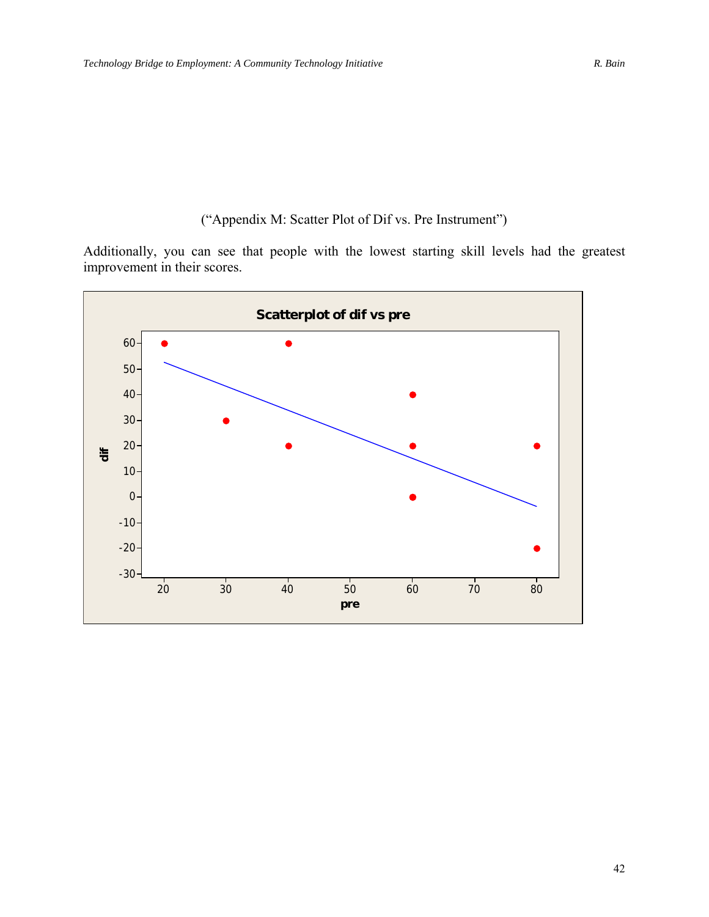### ("Appendix M: Scatter Plot of Dif vs. Pre Instrument")

Additionally, you can see that people with the lowest starting skill levels had the greatest improvement in their scores.

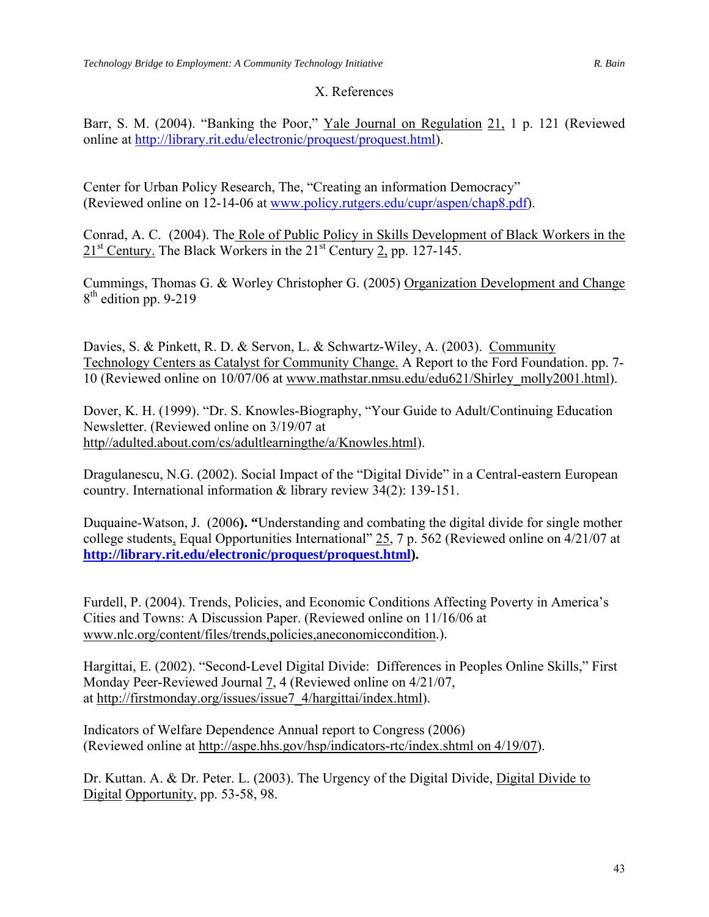### X. References

Barr, S. M. (2004). "Banking the Poor," Yale Journal on Regulation 21, 1 p. 121 (Reviewed online at <http://library.rit.edu/electronic/proquest/proquest.html>).

Center for Urban Policy Research, The, "Creating an information Democracy" (Reviewed online on 12-14-06 at [www.policy.rutgers.edu/cupr/aspen/chap8.pdf\)](http://www.policy.rutgers.edu/cupr/aspen/chap8.pdf).

Conrad, A. C. (2004). The Role of Public Policy in Skills Development of Black Workers in the 21<sup>st</sup> Century. The Black Workers in the 21<sup>st</sup> Century 2, pp. 127-145.

Cummings, Thomas G. & Worley Christopher G. (2005) Organization Development and Change  $8<sup>th</sup>$  edition pp. 9-219

Davies, S. & Pinkett, R. D. & Servon, L. & Schwartz-Wiley, A. (2003). Community Technology Centers as Catalyst for Community Change. A Report to the Ford Foundation. pp. 7- 10 (Reviewed online on 10/07/06 at [www.mathstar.nmsu.edu/edu621/Shirley\\_molly2001.html\)](http://www.mathstar.nmsu.edu/edu621/Shirley_molly2001.html).

Dover, K. H. (1999). "Dr. S. Knowles-Biography, "Your Guide to Adult/Continuing Education Newsletter. (Reviewed online on 3/19/07 at http//adulted.about.com/cs/adultlearningthe/a/Knowles.html).

Dragulanescu, N.G. (2002). Social Impact of the "Digital Divide" in a Central-eastern European country. International information & library review 34(2): 139-151.

Duquaine-Watson, J. (2006**). "**Understanding and combating the digital divide for single mother college students, Equal Opportunities International" 25, 7 p. 562 (Reviewed online on 4/21/07 at **[http://library.rit.edu/electronic/proquest/proquest.html\)](http://library.rit.edu/electronic/proquest/proquest.html).** 

Furdell, P. (2004). Trends, Policies, and Economic Conditions Affecting Poverty in America's Cities and Towns: A Discussion Paper. (Reviewed online on 11/16/06 at [www.nlc.org/content/files/trends,policies,aneconomiccondition.](http://www.nlc.org/content/files/trends,policies,aneconomiccondition)).

Hargittai, E. (2002). "Second-Level Digital Divide: Differences in Peoples Online Skills," First Monday Peer-Reviewed Journal 7, 4 (Reviewed online on 4/21/07, at [http://firstmonday.org/issues/issue7\\_4/hargittai/index.html\)](http://firstmonday.org/issues/issue7_4/hargittai/index.html).

Indicators of Welfare Dependence Annual report to Congress (2006) (Reviewed online at [http://aspe.hhs.gov/hsp/indicators-rtc/index.shtml on 4/19/07\)](http://aspe.hhs.gov/hsp/indicators-rtc/index.shtml on 4/19/07).

Dr. Kuttan. A. & Dr. Peter. L. (2003). The Urgency of the Digital Divide, Digital Divide to Digital Opportunity, pp. 53-58, 98.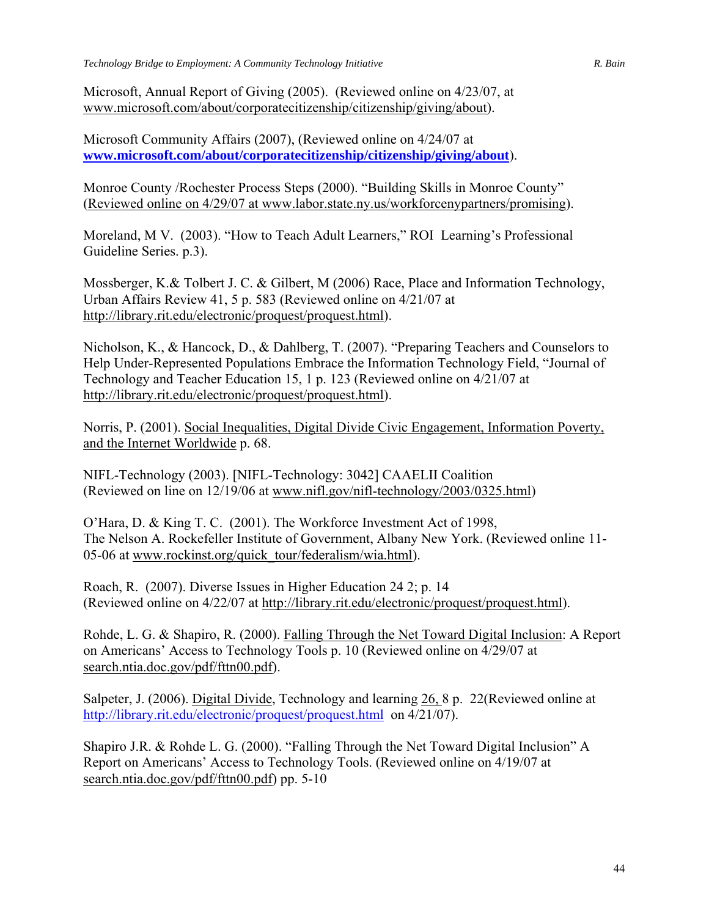Microsoft, Annual Report of Giving (2005). (Reviewed online on 4/23/07, at [www.microsoft.com/about/corporatecitizenship/citizenship/giving/about\)](http://www.microsoft.com/about/corporatecitizenship/citizenship/giving/about).

Microsoft Community Affairs (2007), (Reviewed online on 4/24/07 at **[www.microsoft.com/about/corporatecitizenship/citizenship/giving/about](http://www.microsoft.com/about/corporatecitizenship/citizenship/giving/about)**).

Monroe County /Rochester Process Steps (2000). "Building Skills in Monroe County" (Reviewed online on 4/29/07 at [www.labor.state.ny.us/workforcenypartners/promising\)](http://www.labor.state.ny.us/workforcenypartners/promising).

Moreland, M V. (2003). "How to Teach Adult Learners," ROI Learning's Professional Guideline Series. p.3).

Mossberger, K.& Tolbert J. C. & Gilbert, M (2006) Race, Place and Information Technology, Urban Affairs Review 41, 5 p. 583 (Reviewed online on 4/21/07 at [http://library.rit.edu/electronic/proquest/proquest.html\)](http://library.rit.edu/electronic/proquest/proquest.html).

Nicholson, K., & Hancock, D., & Dahlberg, T. (2007). "Preparing Teachers and Counselors to Help Under-Represented Populations Embrace the Information Technology Field, "Journal of Technology and Teacher Education 15, 1 p. 123 (Reviewed online on 4/21/07 at [http://library.rit.edu/electronic/proquest/proquest.html\)](http://library.rit.edu/electronic/proquest/proquest.html).

Norris, P. (2001). Social Inequalities, Digital Divide Civic Engagement, Information Poverty, and the Internet Worldwide p. 68.

NIFL-Technology (2003). [NIFL-Technology: 3042] CAAELII Coalition (Reviewed on line on 12/19/06 at www.nifl.gov/nifl-technology/2003/0325.html)

O'Hara, D. & King T. C. (2001). The Workforce Investment Act of 1998, The Nelson A. Rockefeller Institute of Government, Albany New York. (Reviewed online 11 05-06 at [www.rockinst.org/quick\\_tour/federalism/wia.html](http://www.rockinst.org/quick_tour/federalism/wia.html)).

Roach, R. (2007). Diverse Issues in Higher Education 24 2; p. 14 (Reviewed online on 4/22/07 at [http://library.rit.edu/electronic/proquest/proquest.html\)](http://library.rit.edu/electronic/proquest/proquest.html).

Rohde, L. G. & Shapiro, R. (2000). Falling Through the Net Toward Digital Inclusion: A Report on Americans' Access to Technology Tools p. 10 (Reviewed online on 4/29/07 at search.ntia.doc.gov/pdf/fttn00.pdf).

Salpeter, J. (2006). Digital Divide, Technology and learning 26, 8 p. 22(Reviewed online at <http://library.rit.edu/electronic/proquest/proquest.html>on 4/21/07).

Shapiro J.R. & Rohde L. G. (2000). "Falling Through the Net Toward Digital Inclusion" A Report on Americans' Access to Technology Tools. (Reviewed online on 4/19/07 at search.ntia.doc.gov/pdf/fttn00.pdf) pp. 5-10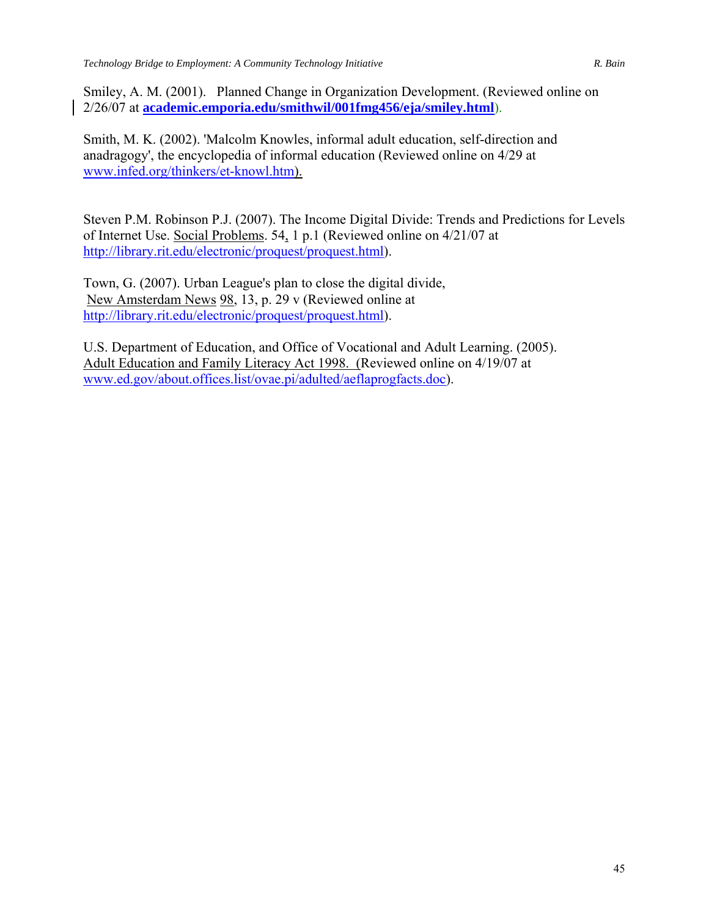Smiley, A. M. (2001). Planned Change in Organization Development. (Reviewed online on 2/26/07 at **[academic.emporia.edu/smithwil/001fmg456/eja/smiley.html](http://www.academic.emporia.edu/smithwil/001fmg456/eja/smiley.html)**).

Smith, M. K. (2002). 'Malcolm Knowles, informal adult education, self-direction and anadragogy', the encyclopedia of informal education (Reviewed online on 4/29 at [www.infed.org/thinkers/et-knowl.htm](http://www.infed.org/thinkers/et-knowl.htm)).

Steven P.M. Robinson P.J. (2007). The Income Digital Divide: Trends and Predictions for Levels of Internet Use. Social Problems. 54, 1 p.1 (Reviewed online on 4/21/07 at [http://library.rit.edu/electronic/proquest/proquest.html\)](http://library.rit.edu/electronic/proquest/proquest.html).

Town, G. (2007). Urban League's plan to close the digital divide, New Amsterdam News 98, 13, p. 29 v (Reviewed online at [http://library.rit.edu/electronic/proquest/proquest.html\)](http://library.rit.edu/electronic/proquest/proquest.html).

U.S. Department of Education, and Office of Vocational and Adult Learning. (2005). Adult Education and Family Literacy Act 1998. (Reviewed online on 4/19/07 at [www.ed.gov/about.offices.list/ovae.pi/adulted/aeflaprogfacts.doc](http://www.ed.gov/about.offices.list/ovae.pi/adulted/aeflaprogfacts.doc)).